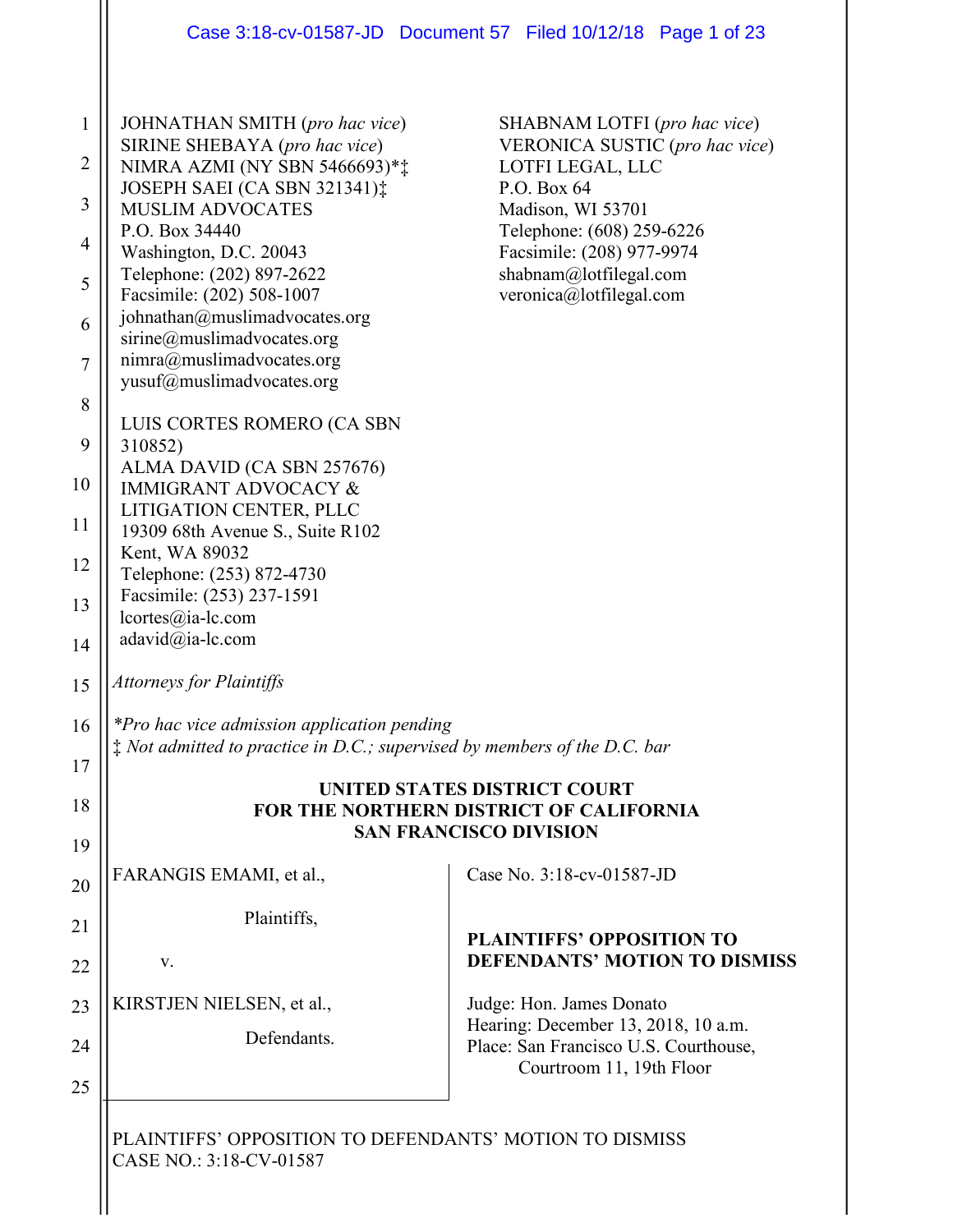|                |                                                                                                                                   | Case 3:18-cv-01587-JD  Document 57  Filed 10/12/18  Page 1 of 23                                         |
|----------------|-----------------------------------------------------------------------------------------------------------------------------------|----------------------------------------------------------------------------------------------------------|
| $\mathbf{1}$   | JOHNATHAN SMITH (pro hac vice)<br>SIRINE SHEBAYA (pro hac vice)                                                                   | SHABNAM LOTFI (pro hac vice)<br>VERONICA SUSTIC (pro hac vice)                                           |
| $\overline{2}$ | NIMRA AZMI (NY SBN 5466693)**                                                                                                     | LOTFI LEGAL, LLC                                                                                         |
| 3              | JOSEPH SAEI (CA SBN 321341):<br><b>MUSLIM ADVOCATES</b>                                                                           | P.O. Box 64<br>Madison, WI 53701                                                                         |
| 4              | P.O. Box 34440                                                                                                                    | Telephone: (608) 259-6226                                                                                |
| 5              | Washington, D.C. 20043<br>Telephone: (202) 897-2622<br>Facsimile: (202) 508-1007                                                  | Facsimile: (208) 977-9974<br>shabnam@lotfilegal.com<br>veronica@lotfilegal.com                           |
| 6              | johnathan@muslimadvocates.org<br>sirine@muslimadvocates.org                                                                       |                                                                                                          |
| $\overline{7}$ | nimra@muslimadvocates.org<br>yusuf@muslimadvocates.org                                                                            |                                                                                                          |
| 8              |                                                                                                                                   |                                                                                                          |
| 9              | LUIS CORTES ROMERO (CA SBN<br>310852)                                                                                             |                                                                                                          |
| 10             | ALMA DAVID (CA SBN 257676)<br><b>IMMIGRANT ADVOCACY &amp;</b>                                                                     |                                                                                                          |
|                | LITIGATION CENTER, PLLC                                                                                                           |                                                                                                          |
| 11             | 19309 68th Avenue S., Suite R102<br>Kent, WA 89032                                                                                |                                                                                                          |
| 12             | Telephone: (253) 872-4730                                                                                                         |                                                                                                          |
| 13             | Facsimile: (253) 237-1591                                                                                                         |                                                                                                          |
| 14             | lcortes@ia-lc.com<br>adavid@ia-lc.com                                                                                             |                                                                                                          |
|                |                                                                                                                                   |                                                                                                          |
| 15             | <b>Attorneys for Plaintiffs</b>                                                                                                   |                                                                                                          |
| 16             | *Pro hac vice admission application pending<br>$\ddagger$ Not admitted to practice in D.C.; supervised by members of the D.C. bar |                                                                                                          |
| 17             |                                                                                                                                   | UNITED STATES DISTRICT COURT                                                                             |
| 18             |                                                                                                                                   | FOR THE NORTHERN DISTRICT OF CALIFORNIA                                                                  |
| 19             |                                                                                                                                   | <b>SAN FRANCISCO DIVISION</b>                                                                            |
| 20             | FARANGIS EMAMI, et al.,                                                                                                           | Case No. 3:18-cv-01587-JD                                                                                |
| 21             | Plaintiffs,                                                                                                                       |                                                                                                          |
| 22             | V.                                                                                                                                | <b>PLAINTIFFS' OPPOSITION TO</b><br><b>DEFENDANTS' MOTION TO DISMISS</b>                                 |
| 23             | KIRSTJEN NIELSEN, et al.,                                                                                                         | Judge: Hon. James Donato                                                                                 |
| 24             | Defendants.                                                                                                                       | Hearing: December 13, 2018, 10 a.m.<br>Place: San Francisco U.S. Courthouse,<br>Courtroom 11, 19th Floor |
| 25             |                                                                                                                                   |                                                                                                          |
|                |                                                                                                                                   |                                                                                                          |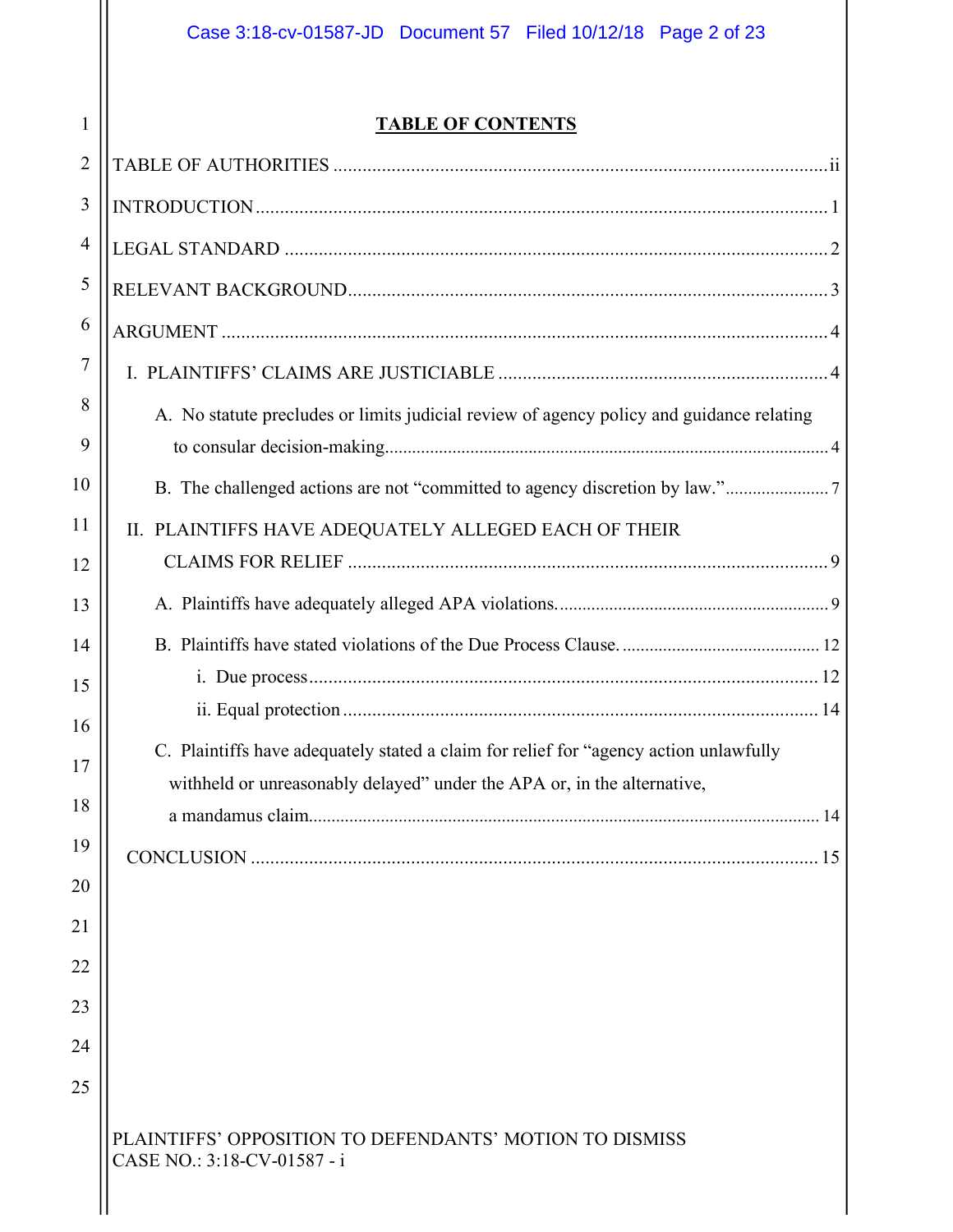# **TABLE OF CONTENTS**

| $\overline{2}$ |                                                                                          |
|----------------|------------------------------------------------------------------------------------------|
| 3              |                                                                                          |
| 4              |                                                                                          |
| 5              |                                                                                          |
| 6              |                                                                                          |
| 7              |                                                                                          |
| 8<br>9         | A. No statute precludes or limits judicial review of agency policy and guidance relating |
| 10             |                                                                                          |
| 11             | II. PLAINTIFFS HAVE ADEQUATELY ALLEGED EACH OF THEIR                                     |
| 12             |                                                                                          |
| 13             |                                                                                          |
| 14             |                                                                                          |
| 15             |                                                                                          |
| 16             | C. Plaintiffs have adequately stated a claim for relief for "agency action unlawfully"   |
| 17             | withheld or unreasonably delayed" under the APA or, in the alternative,                  |
| 18             |                                                                                          |
| 19             |                                                                                          |
| 20             |                                                                                          |
| 21             |                                                                                          |
| 22             |                                                                                          |
| 23             |                                                                                          |
| 24<br>25       |                                                                                          |
|                |                                                                                          |
|                | PLAINTIFFS' OPPOSITION TO DEFENDANTS' MOTION TO DISMISS<br>CASE NO.: 3:18-CV-01587 - i   |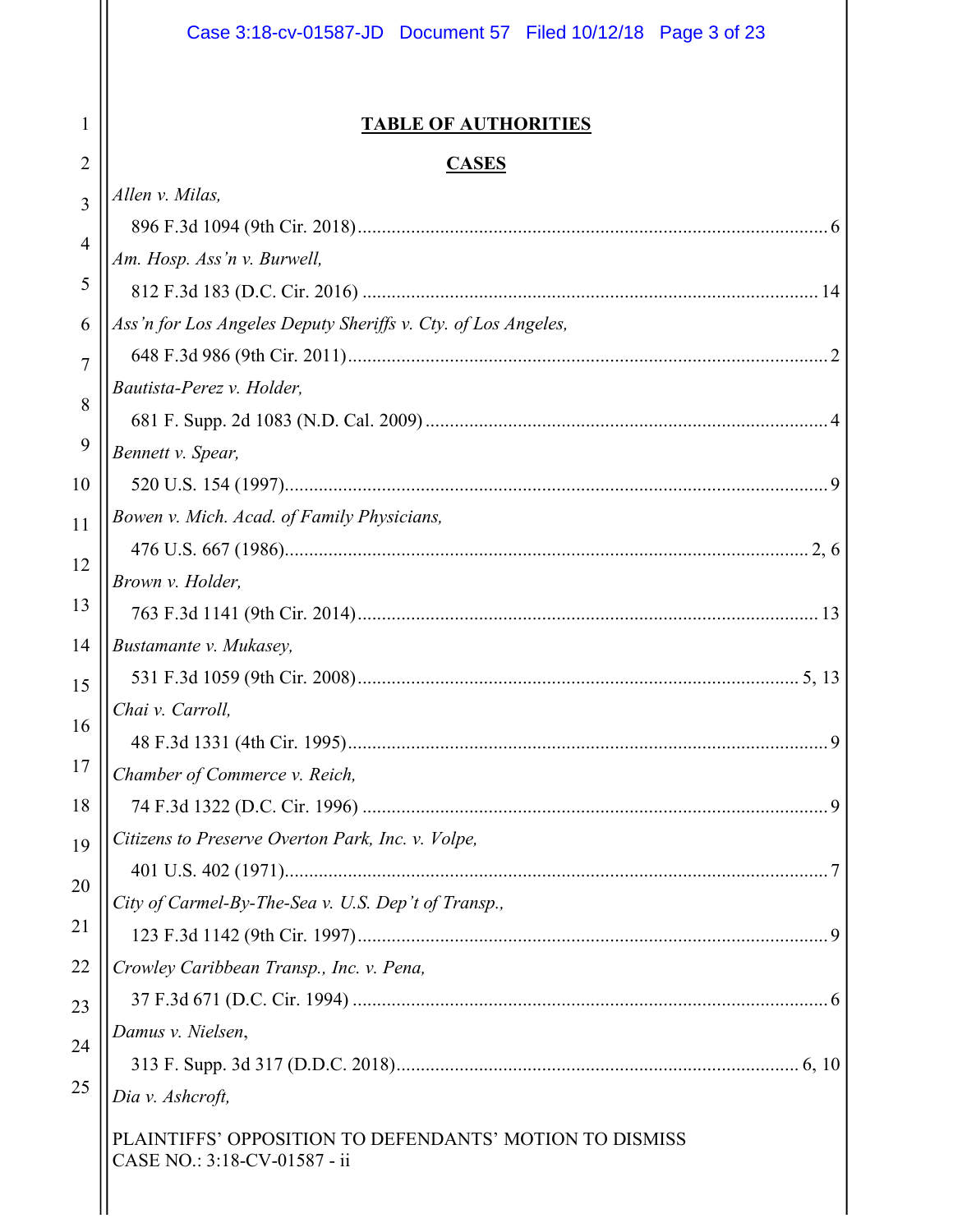|                | Case 3:18-cv-01587-JD  Document 57  Filed 10/12/18  Page 3 of 23                        |
|----------------|-----------------------------------------------------------------------------------------|
| 1              | <b>TABLE OF AUTHORITIES</b>                                                             |
| $\overline{2}$ | <b>CASES</b>                                                                            |
| 3              | Allen v. Milas,                                                                         |
|                |                                                                                         |
| $\overline{4}$ | Am. Hosp. Ass'n v. Burwell,                                                             |
| 5              |                                                                                         |
| 6              | Ass'n for Los Angeles Deputy Sheriffs v. Cty. of Los Angeles,                           |
| 7              |                                                                                         |
| 8              | Bautista-Perez v. Holder,                                                               |
|                |                                                                                         |
| 9              | Bennett v. Spear,                                                                       |
| 10             |                                                                                         |
| 11             | Bowen v. Mich. Acad. of Family Physicians,                                              |
| 12             |                                                                                         |
| 13             | Brown v. Holder,                                                                        |
|                |                                                                                         |
| 14             | Bustamante v. Mukasey,                                                                  |
| 15             | Chai v. Carroll,                                                                        |
| 16             |                                                                                         |
| 17             | Chamber of Commerce v. Reich,                                                           |
| 18             |                                                                                         |
| 19             | Citizens to Preserve Overton Park, Inc. v. Volpe,                                       |
|                |                                                                                         |
| 20             | City of Carmel-By-The-Sea v. U.S. Dep't of Transp.,                                     |
| 21             |                                                                                         |
| 22             | Crowley Caribbean Transp., Inc. v. Pena,                                                |
| 23             |                                                                                         |
| 24             | Damus v. Nielsen,                                                                       |
|                |                                                                                         |
| 25             | Dia v. Ashcroft,                                                                        |
|                | PLAINTIFFS' OPPOSITION TO DEFENDANTS' MOTION TO DISMISS<br>CASE NO.: 3:18-CV-01587 - ii |
|                |                                                                                         |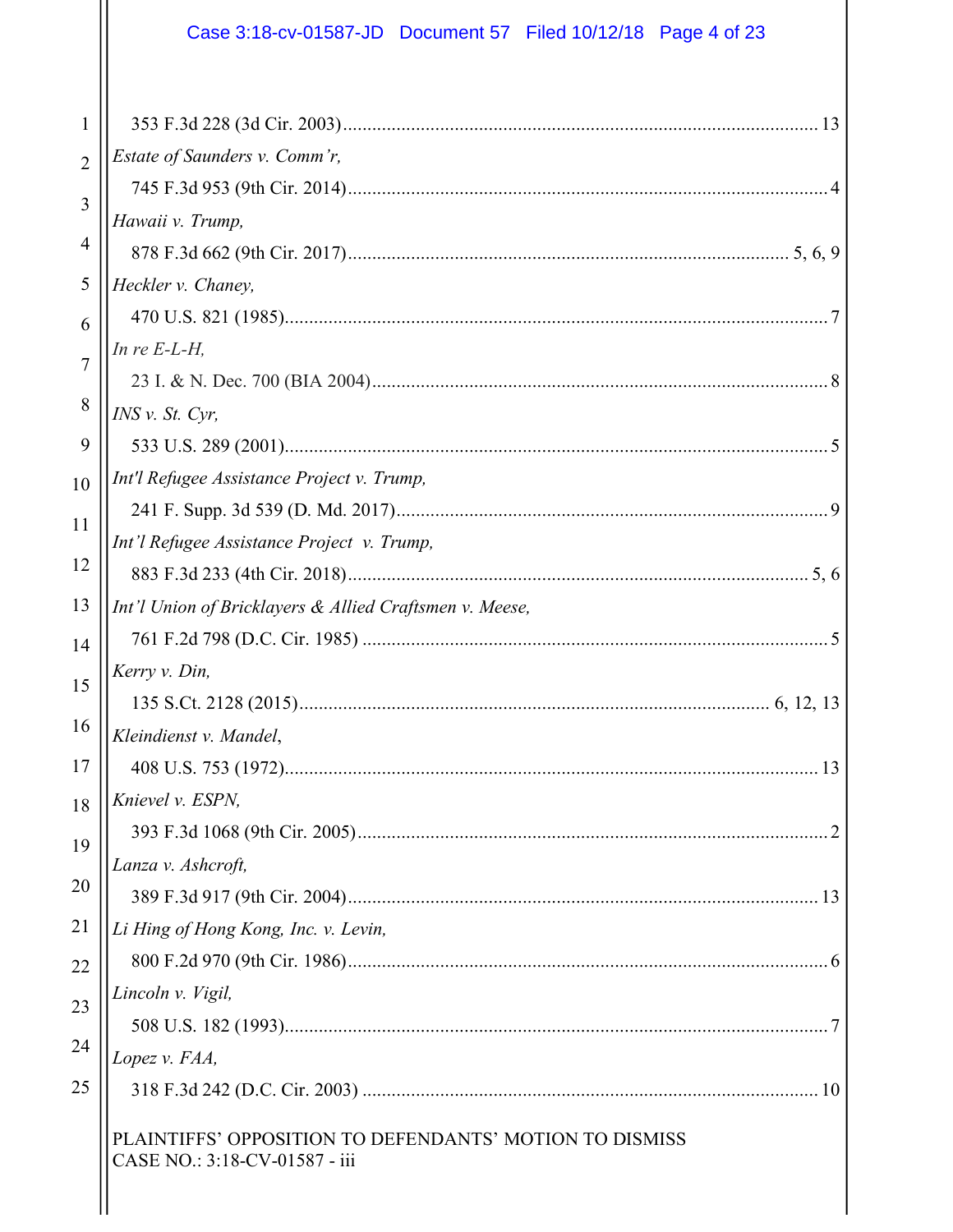# Case 3:18-cv-01587-JD Document 57 Filed 10/12/18 Page 4 of 23

| 1              |                                                                                          |
|----------------|------------------------------------------------------------------------------------------|
| $\overline{2}$ | Estate of Saunders v. Comm'r,                                                            |
|                |                                                                                          |
| 3              | Hawaii v. Trump,                                                                         |
| $\overline{4}$ |                                                                                          |
| 5              | Heckler v. Chaney,                                                                       |
| 6              |                                                                                          |
| $\overline{7}$ | In re $E-L-H$ ,                                                                          |
|                |                                                                                          |
| 8              | $INS$ v. St. Cyr,                                                                        |
| 9              |                                                                                          |
| 10             | Int'l Refugee Assistance Project v. Trump,                                               |
| 11             |                                                                                          |
|                | Int'l Refugee Assistance Project v. Trump,                                               |
| 12             |                                                                                          |
| 13             | Int'l Union of Bricklayers & Allied Craftsmen v. Meese,                                  |
| 14             |                                                                                          |
| 15             | Kerry v. Din,                                                                            |
|                |                                                                                          |
| 16             | Kleindienst v. Mandel,                                                                   |
| 17             |                                                                                          |
| 18             | Knievel v. ESPN,                                                                         |
| 19             |                                                                                          |
|                | Lanza v. Ashcroft,                                                                       |
| 20             |                                                                                          |
| 21             | Li Hing of Hong Kong, Inc. v. Levin,                                                     |
| 22             |                                                                                          |
| 23             | Lincoln v. Vigil,                                                                        |
|                |                                                                                          |
| 24             | Lopez v. FAA,                                                                            |
| 25             |                                                                                          |
|                | PLAINTIFFS' OPPOSITION TO DEFENDANTS' MOTION TO DISMISS<br>CASE NO.: 3:18-CV-01587 - iii |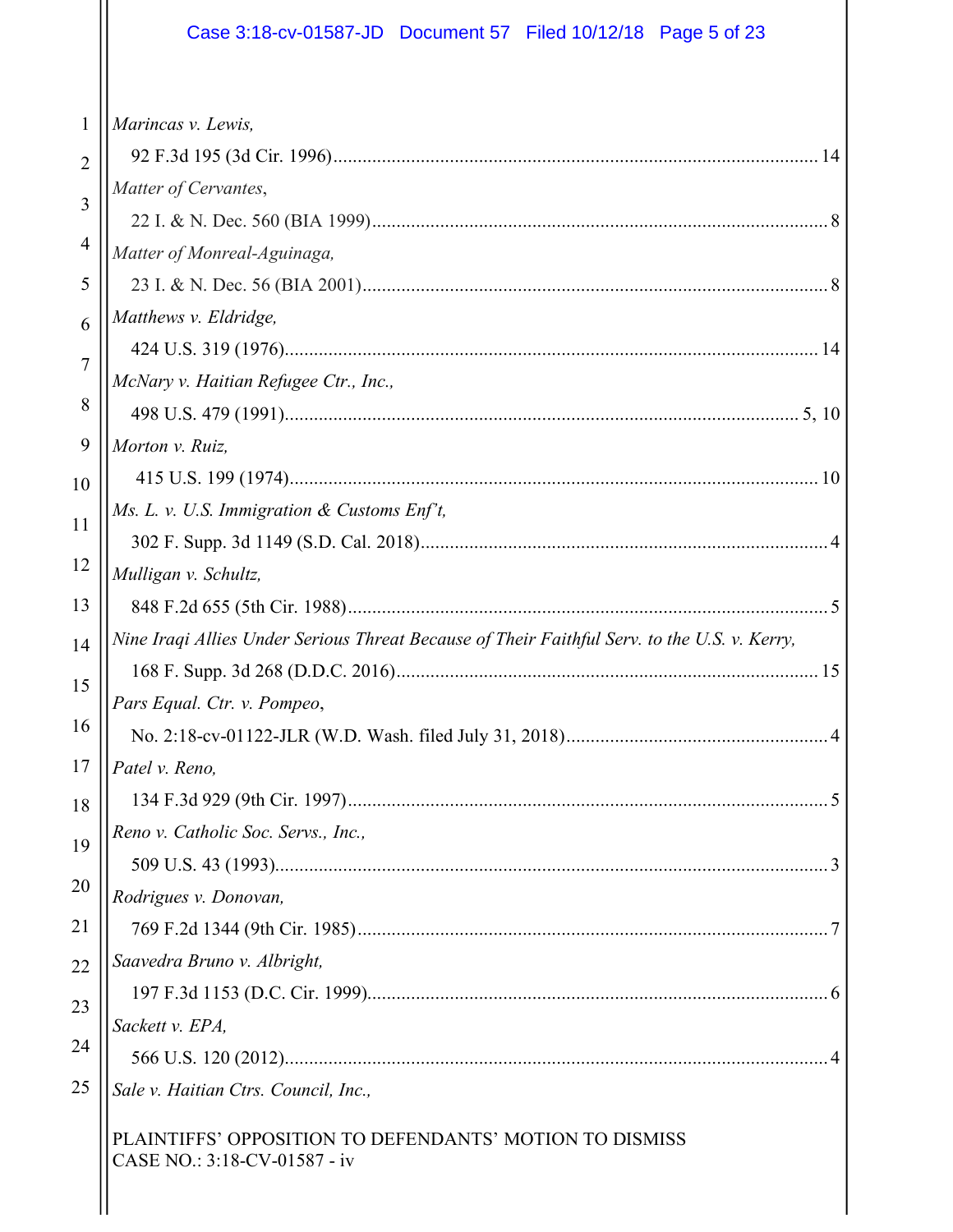# Case 3:18-cv-01587-JD Document 57 Filed 10/12/18 Page 5 of 23

| $\mathbf{1}$   | Marincas v. Lewis,                                                                           |
|----------------|----------------------------------------------------------------------------------------------|
| $\overline{2}$ |                                                                                              |
| 3              | Matter of Cervantes,                                                                         |
|                |                                                                                              |
| 4              | Matter of Monreal-Aguinaga,                                                                  |
| 5              |                                                                                              |
| 6              | Matthews v. Eldridge,                                                                        |
| 7              |                                                                                              |
|                | McNary v. Haitian Refugee Ctr., Inc.,                                                        |
| 8              |                                                                                              |
| 9              | Morton v. Ruiz,                                                                              |
| 10             |                                                                                              |
| 11             | Ms. L. v. U.S. Immigration & Customs Enf't,                                                  |
|                |                                                                                              |
| 12             | Mulligan v. Schultz,                                                                         |
| 13             |                                                                                              |
| 14             | Nine Iraqi Allies Under Serious Threat Because of Their Faithful Serv. to the U.S. v. Kerry, |
| 15             |                                                                                              |
|                | Pars Equal. Ctr. v. Pompeo,                                                                  |
| 16             |                                                                                              |
| 17             | Patel v. Reno,                                                                               |
| 18             |                                                                                              |
| 19             | Reno v. Catholic Soc. Servs., Inc.,                                                          |
| 20             |                                                                                              |
|                | Rodrigues v. Donovan,                                                                        |
| 21             |                                                                                              |
| 22             | Saavedra Bruno v. Albright,                                                                  |
| 23             |                                                                                              |
| 24             | Sackett v. EPA,                                                                              |
|                |                                                                                              |
| 25             | Sale v. Haitian Ctrs. Council, Inc.,                                                         |
|                | PLAINTIFFS' OPPOSITION TO DEFENDANTS' MOTION TO DISMISS<br>CASE NO.: 3:18-CV-01587 - iv      |
|                |                                                                                              |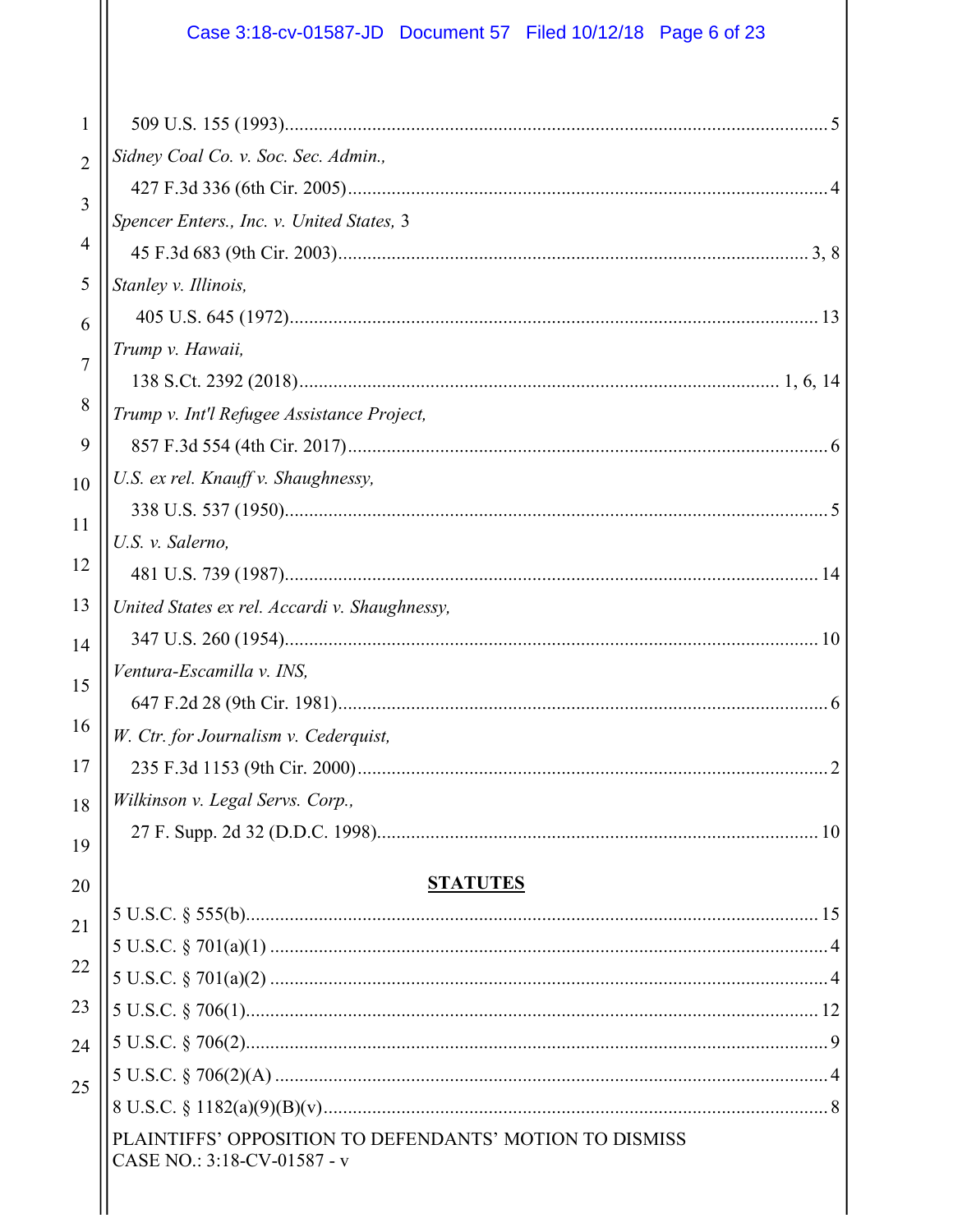# Case 3:18-cv-01587-JD Document 57 Filed 10/12/18 Page 6 of 23

| 1              |                                                                                        |
|----------------|----------------------------------------------------------------------------------------|
| $\overline{2}$ | Sidney Coal Co. v. Soc. Sec. Admin.,                                                   |
| 3              |                                                                                        |
| 4              | Spencer Enters., Inc. v. United States, 3                                              |
|                |                                                                                        |
| 5              | Stanley v. Illinois,                                                                   |
| 6              |                                                                                        |
| $\overline{7}$ | Trump v. Hawaii,                                                                       |
| 8              |                                                                                        |
|                | Trump v. Int'l Refugee Assistance Project,                                             |
| 9              |                                                                                        |
| 10             | U.S. ex rel. Knauff v. Shaughnessy,                                                    |
| 11             |                                                                                        |
| 12             | U.S. v. Salerno,                                                                       |
| 13             |                                                                                        |
|                | United States ex rel. Accardi v. Shaughnessy,                                          |
| 14             | Ventura-Escamilla v. INS,                                                              |
| 15             |                                                                                        |
| 16             | W. Ctr. for Journalism v. Cederquist,                                                  |
| 17             |                                                                                        |
|                | Wilkinson v. Legal Servs. Corp.,                                                       |
| 18             |                                                                                        |
| 19             |                                                                                        |
| 20             | <b>STATUTES</b>                                                                        |
| 21             |                                                                                        |
| 22             |                                                                                        |
|                |                                                                                        |
| 23             |                                                                                        |
| 24             |                                                                                        |
| 25             |                                                                                        |
|                |                                                                                        |
|                | PLAINTIFFS' OPPOSITION TO DEFENDANTS' MOTION TO DISMISS<br>CASE NO.: 3:18-CV-01587 - v |
|                |                                                                                        |
|                |                                                                                        |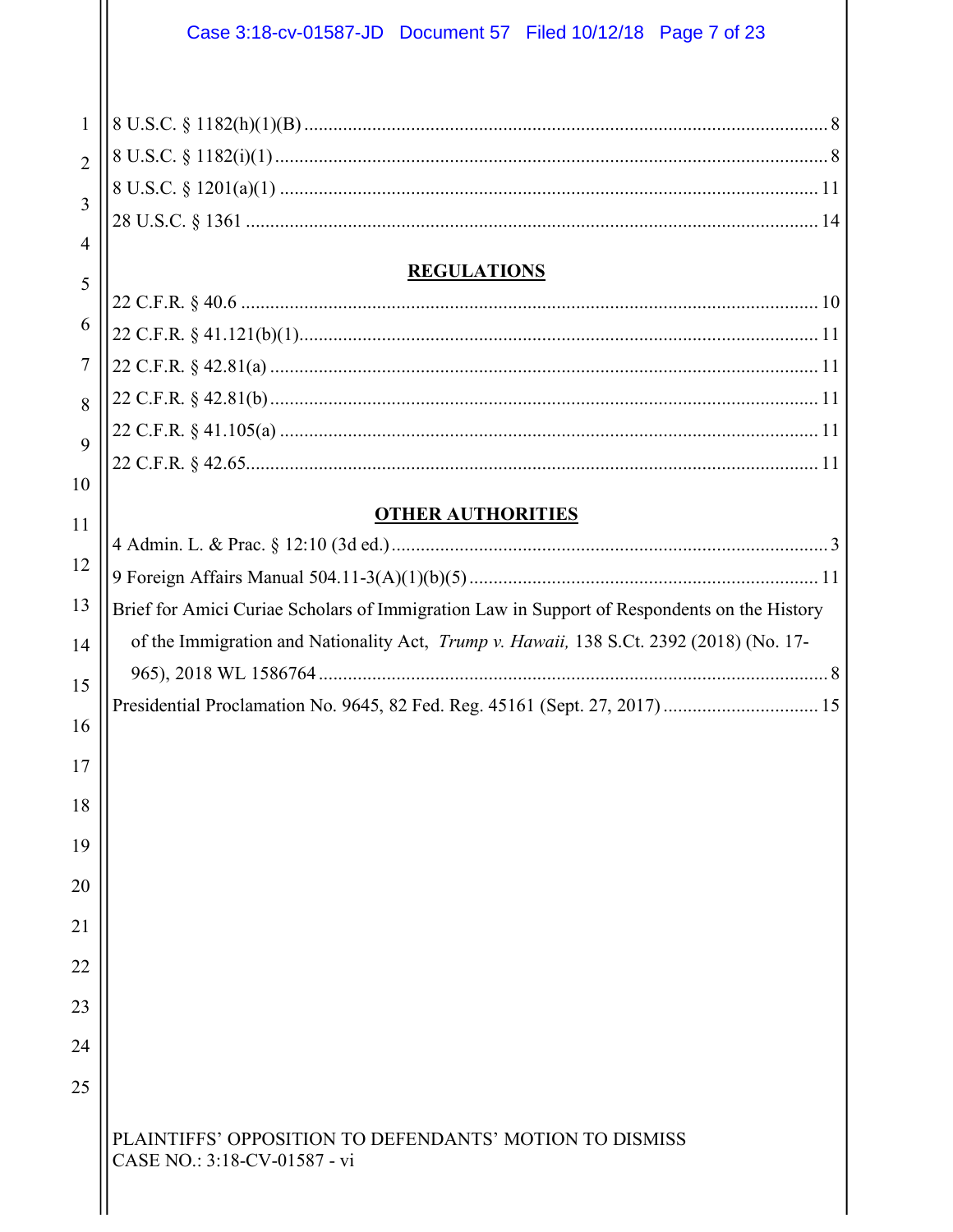|                                     | Case 3:18-cv-01587-JD  Document 57  Filed 10/12/18  Page 7 of 23                                |
|-------------------------------------|-------------------------------------------------------------------------------------------------|
| $\mathbf{1}$<br>$\overline{2}$<br>3 |                                                                                                 |
| $\overline{4}$                      | <b>REGULATIONS</b>                                                                              |
| 5                                   |                                                                                                 |
| 6                                   |                                                                                                 |
| $\tau$                              |                                                                                                 |
| 8                                   |                                                                                                 |
| $\mathbf{Q}$                        |                                                                                                 |
| 10                                  |                                                                                                 |
|                                     | <b>OTHER AUTHORITIES</b>                                                                        |
| 11                                  |                                                                                                 |
| 12                                  |                                                                                                 |
| 13                                  | Brief for Amici Curiae Scholars of Immigration Law in Support of Respondents on the History     |
| 14                                  | of the Immigration and Nationality Act, <i>Trump v. Hawaii</i> , 138 S.Ct. 2392 (2018) (No. 17- |
| 15                                  |                                                                                                 |
| 16                                  |                                                                                                 |
|                                     |                                                                                                 |
| 17                                  |                                                                                                 |
| 18                                  |                                                                                                 |
| 19                                  |                                                                                                 |
| 20                                  |                                                                                                 |
| 21                                  |                                                                                                 |
| 22                                  |                                                                                                 |
| 23                                  |                                                                                                 |
|                                     |                                                                                                 |
| 24                                  |                                                                                                 |
| 25                                  |                                                                                                 |
|                                     | PLAINTIFFS' OPPOSITION TO DEFENDANTS' MOTION TO DISMISS<br>CASE NO.: 3:18-CV-01587 - vi         |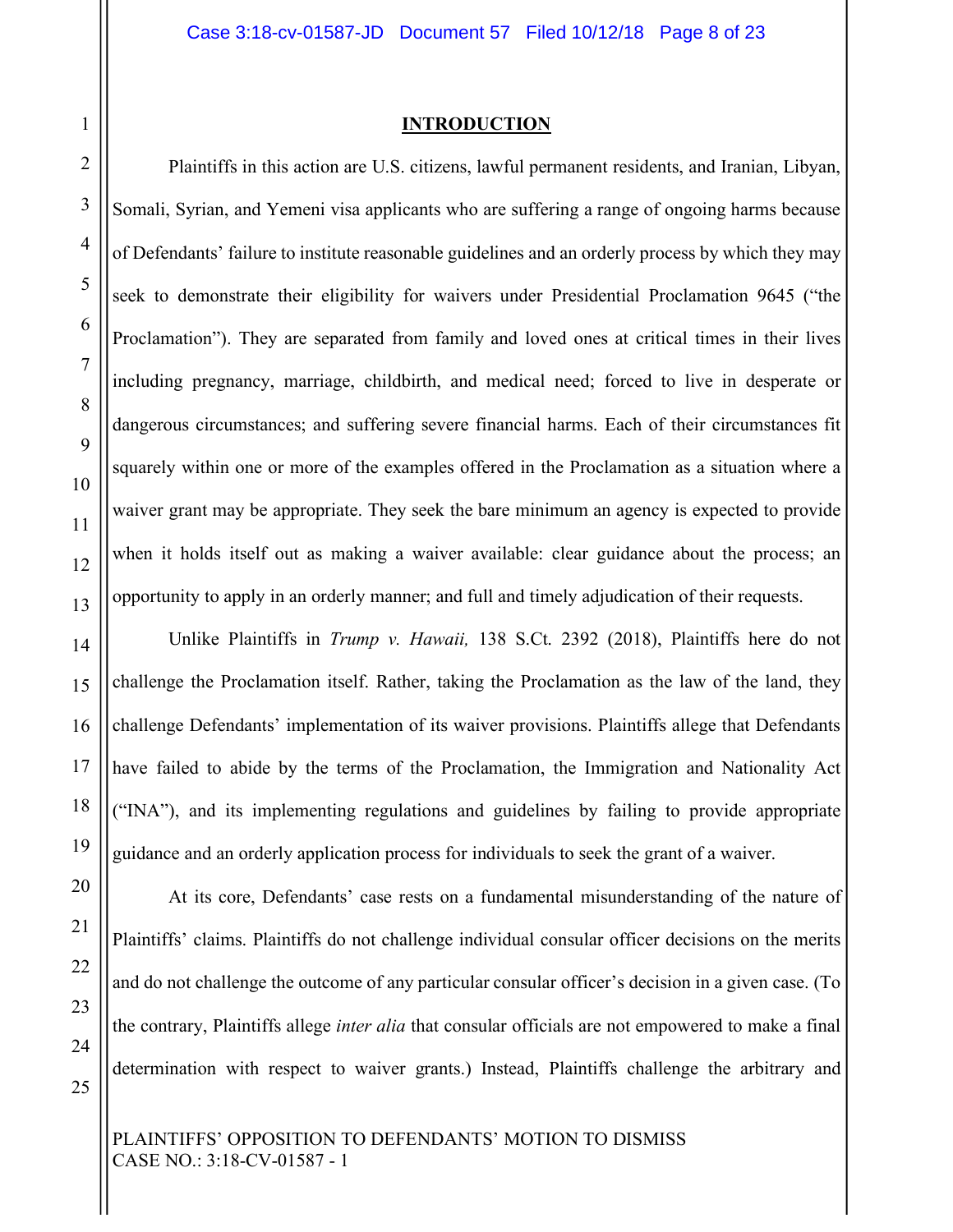#### **INTRODUCTION**

Plaintiffs in this action are U.S. citizens, lawful permanent residents, and Iranian, Libyan, Somali, Syrian, and Yemeni visa applicants who are suffering a range of ongoing harms because of Defendants' failure to institute reasonable guidelines and an orderly process by which they may seek to demonstrate their eligibility for waivers under Presidential Proclamation 9645 ("the Proclamation"). They are separated from family and loved ones at critical times in their lives including pregnancy, marriage, childbirth, and medical need; forced to live in desperate or dangerous circumstances; and suffering severe financial harms. Each of their circumstances fit squarely within one or more of the examples offered in the Proclamation as a situation where a waiver grant may be appropriate. They seek the bare minimum an agency is expected to provide when it holds itself out as making a waiver available: clear guidance about the process; an opportunity to apply in an orderly manner; and full and timely adjudication of their requests.

Unlike Plaintiffs in *Trump v. Hawaii,* 138 S.Ct. 2392 (2018), Plaintiffs here do not challenge the Proclamation itself. Rather, taking the Proclamation as the law of the land, they challenge Defendants' implementation of its waiver provisions. Plaintiffs allege that Defendants have failed to abide by the terms of the Proclamation, the Immigration and Nationality Act ("INA"), and its implementing regulations and guidelines by failing to provide appropriate guidance and an orderly application process for individuals to seek the grant of a waiver.

At its core, Defendants' case rests on a fundamental misunderstanding of the nature of Plaintiffs' claims. Plaintiffs do not challenge individual consular officer decisions on the merits and do not challenge the outcome of any particular consular officer's decision in a given case. (To the contrary, Plaintiffs allege *inter alia* that consular officials are not empowered to make a final determination with respect to waiver grants.) Instead, Plaintiffs challenge the arbitrary and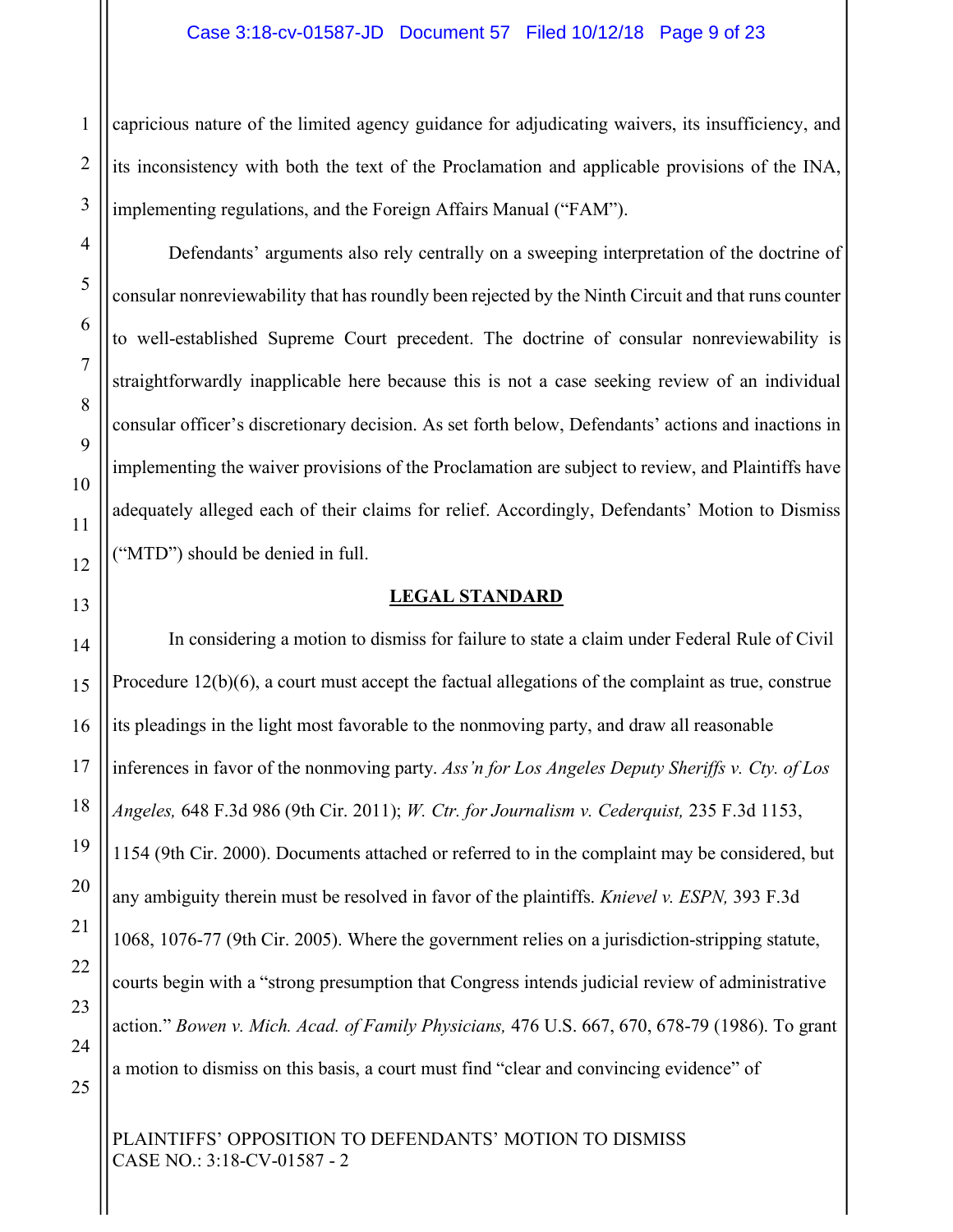capricious nature of the limited agency guidance for adjudicating waivers, its insufficiency, and its inconsistency with both the text of the Proclamation and applicable provisions of the INA, implementing regulations, and the Foreign Affairs Manual ("FAM").

Defendants' arguments also rely centrally on a sweeping interpretation of the doctrine of consular nonreviewability that has roundly been rejected by the Ninth Circuit and that runs counter to well-established Supreme Court precedent. The doctrine of consular nonreviewability is straightforwardly inapplicable here because this is not a case seeking review of an individual consular officer's discretionary decision. As set forth below, Defendants' actions and inactions in implementing the waiver provisions of the Proclamation are subject to review, and Plaintiffs have adequately alleged each of their claims for relief. Accordingly, Defendants' Motion to Dismiss ("MTD") should be denied in full.

#### **LEGAL STANDARD**

In considering a motion to dismiss for failure to state a claim under Federal Rule of Civil Procedure 12(b)(6), a court must accept the factual allegations of the complaint as true, construe its pleadings in the light most favorable to the nonmoving party, and draw all reasonable inferences in favor of the nonmoving party. *Ass'n for Los Angeles Deputy Sheriffs v. Cty. of Los Angeles,* 648 F.3d 986 (9th Cir. 2011); *W. Ctr. for Journalism v. Cederquist,* 235 F.3d 1153, 1154 (9th Cir. 2000). Documents attached or referred to in the complaint may be considered, but any ambiguity therein must be resolved in favor of the plaintiffs. *Knievel v. ESPN,* 393 F.3d 1068, 1076-77 (9th Cir. 2005). Where the government relies on a jurisdiction-stripping statute, courts begin with a "strong presumption that Congress intends judicial review of administrative action." *Bowen v. Mich. Acad. of Family Physicians,* 476 U.S. 667, 670, 678-79 (1986). To grant a motion to dismiss on this basis, a court must find "clear and convincing evidence" of

PLAINTIFFS' OPPOSITION TO DEFENDANTS' MOTION TO DISMISS CASE NO.: 3:18-CV-01587 - 2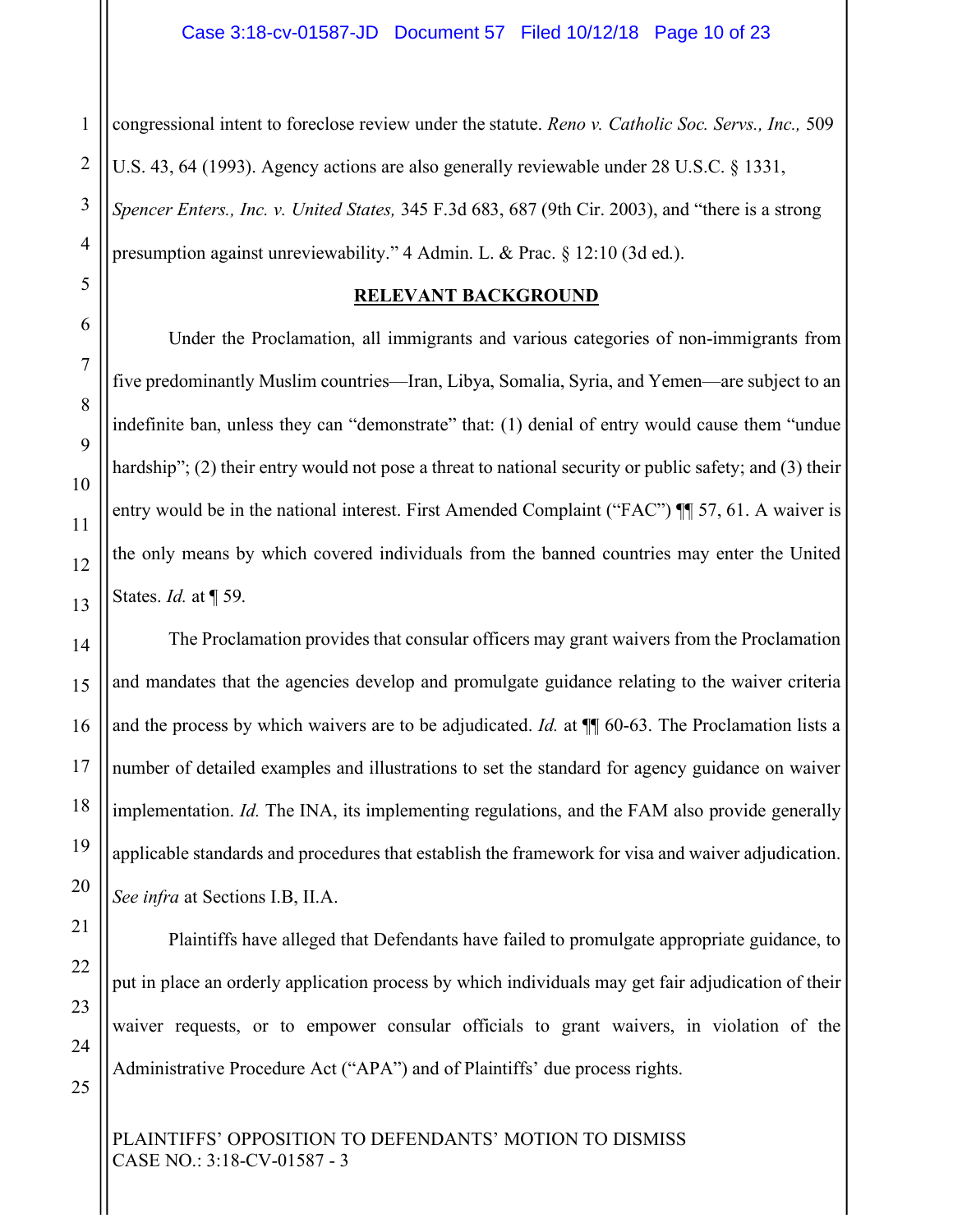1 congressional intent to foreclose review under the statute. *Reno v. Catholic Soc. Servs., Inc.,* 509 U.S. 43, 64 (1993). Agency actions are also generally reviewable under 28 U.S.C. § 1331, *Spencer Enters., Inc. v. United States,* 345 F.3d 683, 687 (9th Cir. 2003), and "there is a strong presumption against unreviewability." 4 Admin. L. & Prac. § 12:10 (3d ed.).

#### **RELEVANT BACKGROUND**

Under the Proclamation, all immigrants and various categories of non-immigrants from five predominantly Muslim countries—Iran, Libya, Somalia, Syria, and Yemen—are subject to an indefinite ban, unless they can "demonstrate" that: (1) denial of entry would cause them "undue hardship"; (2) their entry would not pose a threat to national security or public safety; and (3) their entry would be in the national interest. First Amended Complaint ("FAC") ¶¶ 57, 61. A waiver is the only means by which covered individuals from the banned countries may enter the United States. *Id.* at ¶ 59.

The Proclamation provides that consular officers may grant waivers from the Proclamation and mandates that the agencies develop and promulgate guidance relating to the waiver criteria and the process by which waivers are to be adjudicated. *Id.* at ¶¶ 60-63. The Proclamation lists a number of detailed examples and illustrations to set the standard for agency guidance on waiver implementation. *Id.* The INA, its implementing regulations, and the FAM also provide generally applicable standards and procedures that establish the framework for visa and waiver adjudication. *See infra* at Sections I.B, II.A.

Plaintiffs have alleged that Defendants have failed to promulgate appropriate guidance, to put in place an orderly application process by which individuals may get fair adjudication of their waiver requests, or to empower consular officials to grant waivers, in violation of the Administrative Procedure Act ("APA") and of Plaintiffs' due process rights.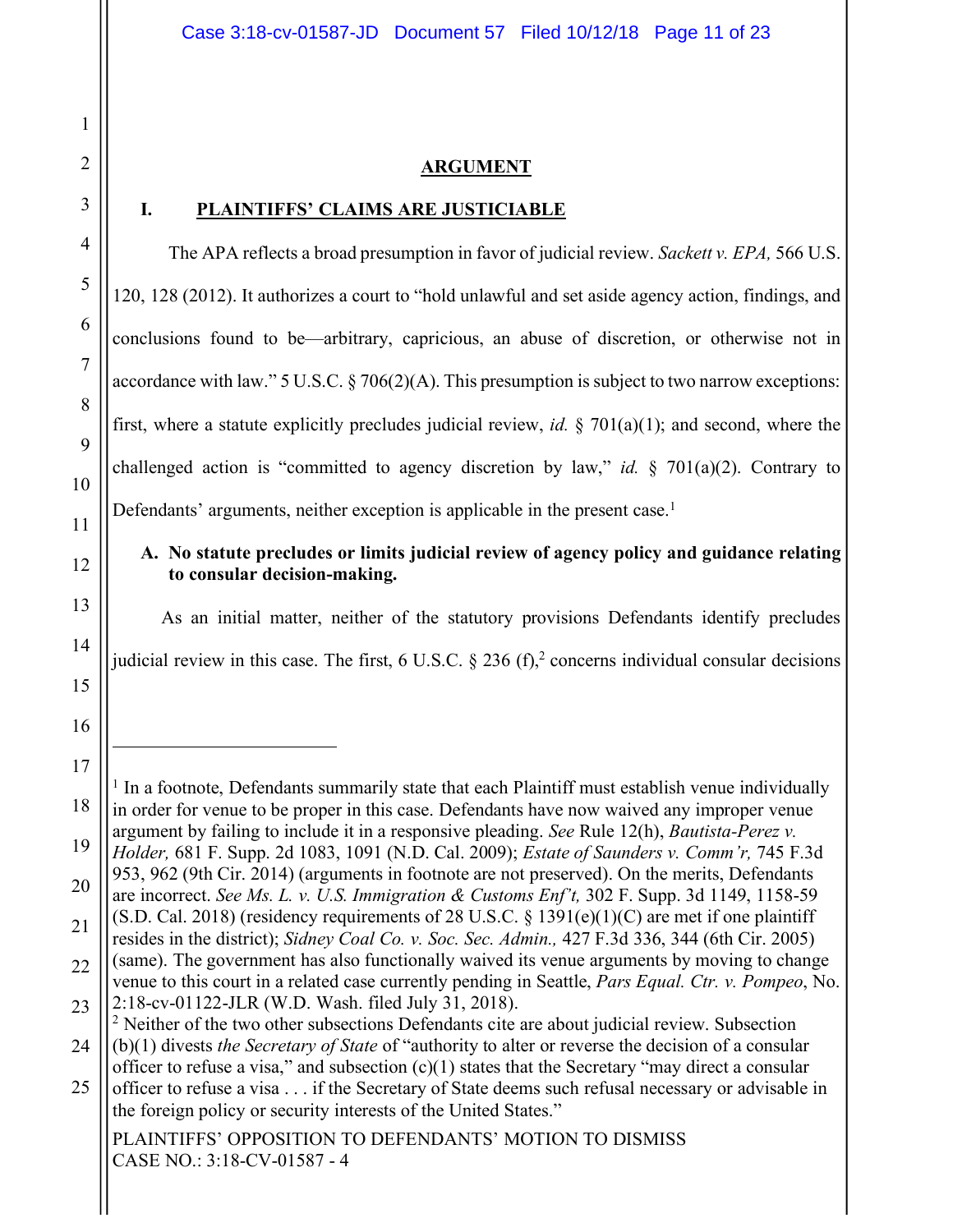### **ARGUMENT**

The APA reflects a broad presumption in favor of judicial review. *Sackett v. EPA,* 566 U.S.

**I. PLAINTIFFS' CLAIMS ARE JUSTICIABLE**

120, 128 (2012). It authorizes a court to "hold unlawful and set aside agency action, findings, and conclusions found to be—arbitrary, capricious, an abuse of discretion, or otherwise not in accordance with law." 5 U.S.C. § 706(2)(A). This presumption is subject to two narrow exceptions: first, where a statute explicitly precludes judicial review, *id.* § 701(a)(1); and second, where the challenged action is "committed to agency discretion by law," *id.* § 701(a)(2). Contrary to Defendants' arguments, neither exception is applicable in the present case.<sup>1</sup>

## **A. No statute precludes or limits judicial review of agency policy and guidance relating to consular decision-making.**

As an initial matter, neither of the statutory provisions Defendants identify precludes judicial review in this case. The first, 6 U.S.C.  $\S 236$  (f),<sup>2</sup> concerns individual consular decisions

PLAINTIFFS' OPPOSITION TO DEFENDANTS' MOTION TO DISMISS CASE NO.: 3:18-CV-01587 - 4

<u>.</u>

 $<sup>1</sup>$  In a footnote, Defendants summarily state that each Plaintiff must establish venue individually</sup> in order for venue to be proper in this case. Defendants have now waived any improper venue argument by failing to include it in a responsive pleading. *See* Rule 12(h), *Bautista-Perez v. Holder,* 681 F. Supp. 2d 1083, 1091 (N.D. Cal. 2009); *Estate of Saunders v. Comm'r,* 745 F.3d 953, 962 (9th Cir. 2014) (arguments in footnote are not preserved). On the merits, Defendants

are incorrect. *See Ms. L. v. U.S. Immigration & Customs Enf't,* 302 F. Supp. 3d 1149, 1158-59 (S.D. Cal. 2018) (residency requirements of 28 U.S.C.  $\S$  1391(e)(1)(C) are met if one plaintiff resides in the district); *Sidney Coal Co. v. Soc. Sec. Admin.,* 427 F.3d 336, 344 (6th Cir. 2005)

<sup>(</sup>same). The government has also functionally waived its venue arguments by moving to change venue to this court in a related case currently pending in Seattle, *Pars Equal. Ctr. v. Pompeo*, No.

<sup>24</sup> 2:18-cv-01122-JLR (W.D. Wash. filed July 31, 2018). 2 Neither of the two other subsections Defendants cite are about judicial review. Subsection (b)(1) divests *the Secretary of State* of "authority to alter or reverse the decision of a consular

<sup>25</sup> officer to refuse a visa," and subsection  $(c)(1)$  states that the Secretary "may direct a consular

officer to refuse a visa . . . if the Secretary of State deems such refusal necessary or advisable in the foreign policy or security interests of the United States."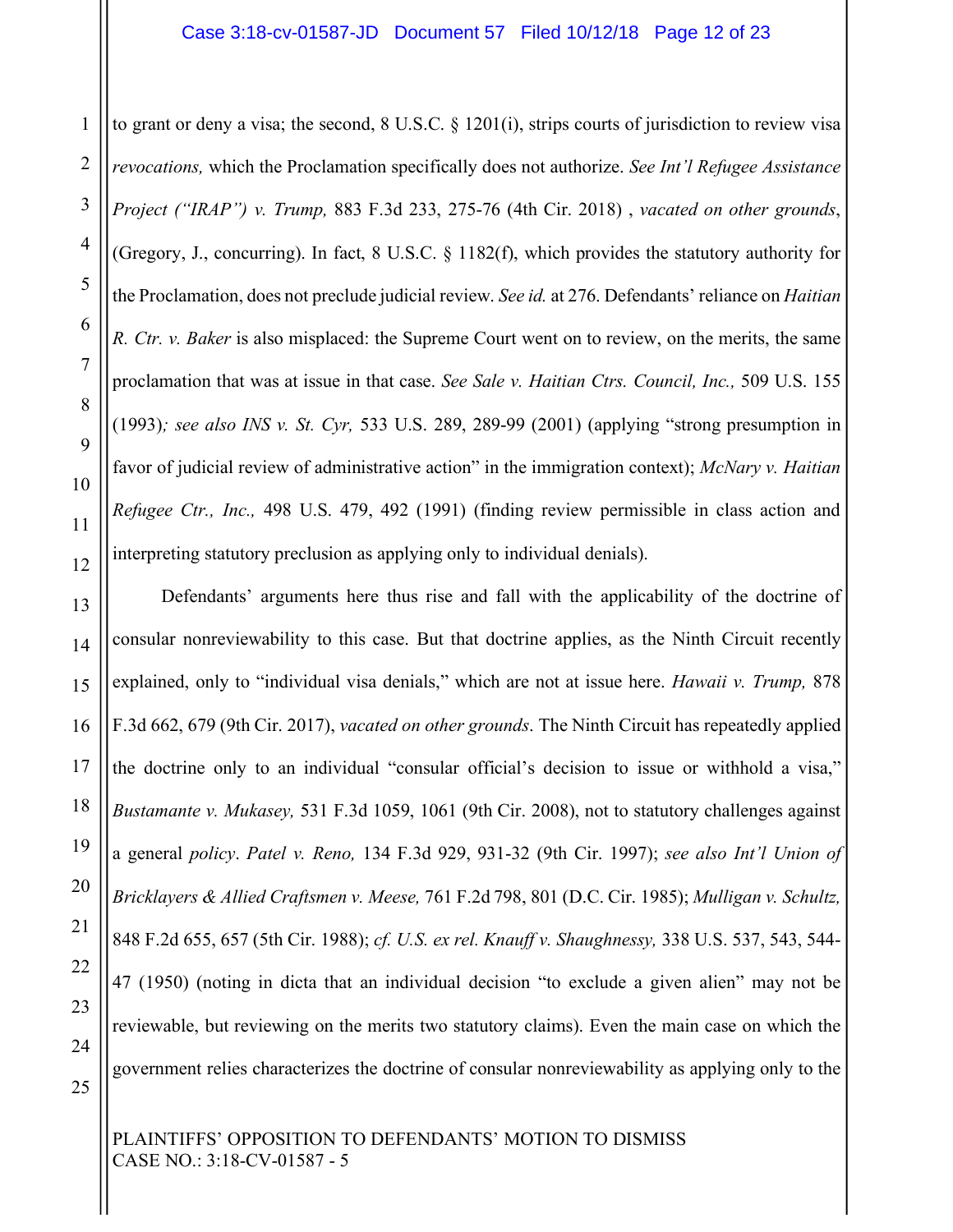#### Case 3:18-cv-01587-JD Document 57 Filed 10/12/18 Page 12 of 23

to grant or deny a visa; the second, 8 U.S.C. § 1201(i), strips courts of jurisdiction to review visa *revocations,* which the Proclamation specifically does not authorize. *See Int'l Refugee Assistance Project ("IRAP") v. Trump,* 883 F.3d 233, 275-76 (4th Cir. 2018) , *vacated on other grounds*, (Gregory, J., concurring). In fact, 8 U.S.C. § 1182(f), which provides the statutory authority for the Proclamation, does not preclude judicial review. *See id.* at 276. Defendants' reliance on *Haitian R. Ctr. v. Baker* is also misplaced: the Supreme Court went on to review, on the merits, the same proclamation that was at issue in that case. *See Sale v. Haitian Ctrs. Council, Inc.,* 509 U.S. 155 (1993)*; see also INS v. St. Cyr,* 533 U.S. 289, 289-99 (2001) (applying "strong presumption in favor of judicial review of administrative action" in the immigration context); *McNary v. Haitian Refugee Ctr., Inc.,* 498 U.S. 479, 492 (1991) (finding review permissible in class action and interpreting statutory preclusion as applying only to individual denials).

Defendants' arguments here thus rise and fall with the applicability of the doctrine of consular nonreviewability to this case. But that doctrine applies, as the Ninth Circuit recently explained, only to "individual visa denials," which are not at issue here. *Hawaii v. Trump,* 878 F.3d 662, 679 (9th Cir. 2017), *vacated on other grounds*. The Ninth Circuit has repeatedly applied the doctrine only to an individual "consular official's decision to issue or withhold a visa," *Bustamante v. Mukasey,* 531 F.3d 1059, 1061 (9th Cir. 2008), not to statutory challenges against a general *policy*. *Patel v. Reno,* 134 F.3d 929, 931-32 (9th Cir. 1997); *see also Int'l Union of Bricklayers & Allied Craftsmen v. Meese,* 761 F.2d 798, 801 (D.C. Cir. 1985); *Mulligan v. Schultz,*  848 F.2d 655, 657 (5th Cir. 1988); *cf. U.S. ex rel. Knauff v. Shaughnessy,* 338 U.S. 537, 543, 544- 47 (1950) (noting in dicta that an individual decision "to exclude a given alien" may not be reviewable, but reviewing on the merits two statutory claims). Even the main case on which the government relies characterizes the doctrine of consular nonreviewability as applying only to the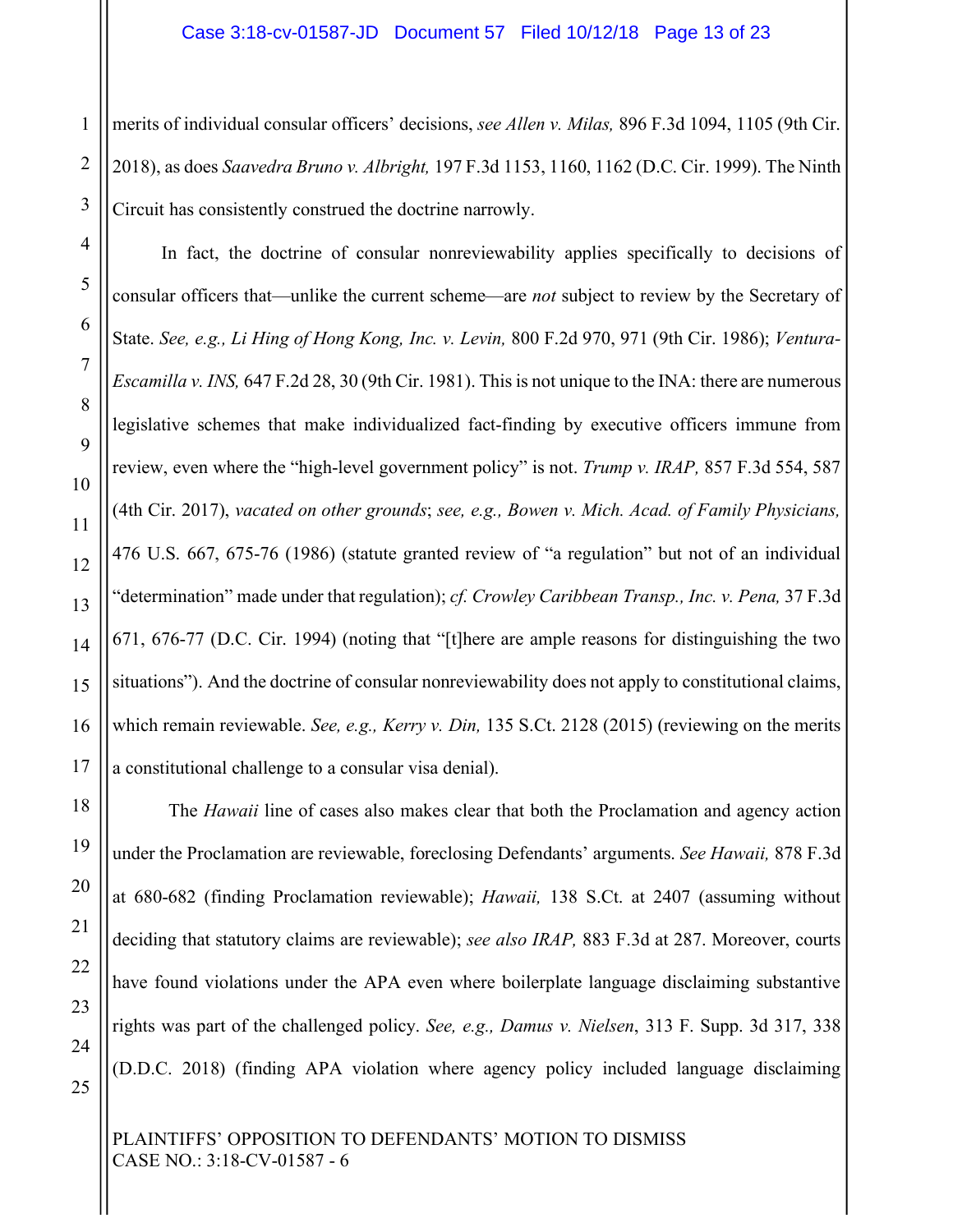1 merits of individual consular officers' decisions, *see Allen v. Milas,* 896 F.3d 1094, 1105 (9th Cir. 2018), as does *Saavedra Bruno v. Albright,* 197 F.3d 1153, 1160, 1162 (D.C. Cir. 1999). The Ninth Circuit has consistently construed the doctrine narrowly.

In fact, the doctrine of consular nonreviewability applies specifically to decisions of consular officers that—unlike the current scheme—are *not* subject to review by the Secretary of State. *See, e.g., Li Hing of Hong Kong, Inc. v. Levin,* 800 F.2d 970, 971 (9th Cir. 1986); *Ventura-Escamilla v. INS,* 647 F.2d 28, 30 (9th Cir. 1981). This is not unique to the INA: there are numerous legislative schemes that make individualized fact-finding by executive officers immune from review, even where the "high-level government policy" is not. *Trump v. IRAP,* 857 F.3d 554, 587 (4th Cir. 2017), *vacated on other grounds*; *see, e.g., Bowen v. Mich. Acad. of Family Physicians,*  476 U.S. 667, 675-76 (1986) (statute granted review of "a regulation" but not of an individual "determination" made under that regulation); *cf. Crowley Caribbean Transp., Inc. v. Pena,* 37 F.3d 671, 676-77 (D.C. Cir. 1994) (noting that "[t]here are ample reasons for distinguishing the two situations"). And the doctrine of consular nonreviewability does not apply to constitutional claims, which remain reviewable. *See, e.g., Kerry v. Din,* 135 S.Ct. 2128 (2015) (reviewing on the merits a constitutional challenge to a consular visa denial).

The *Hawaii* line of cases also makes clear that both the Proclamation and agency action under the Proclamation are reviewable, foreclosing Defendants' arguments. *See Hawaii,* 878 F.3d at 680-682 (finding Proclamation reviewable); *Hawaii,* 138 S.Ct. at 2407 (assuming without deciding that statutory claims are reviewable); *see also IRAP,* 883 F.3d at 287. Moreover, courts have found violations under the APA even where boilerplate language disclaiming substantive rights was part of the challenged policy. *See, e.g., Damus v. Nielsen*, 313 F. Supp. 3d 317, 338 (D.D.C. 2018) (finding APA violation where agency policy included language disclaiming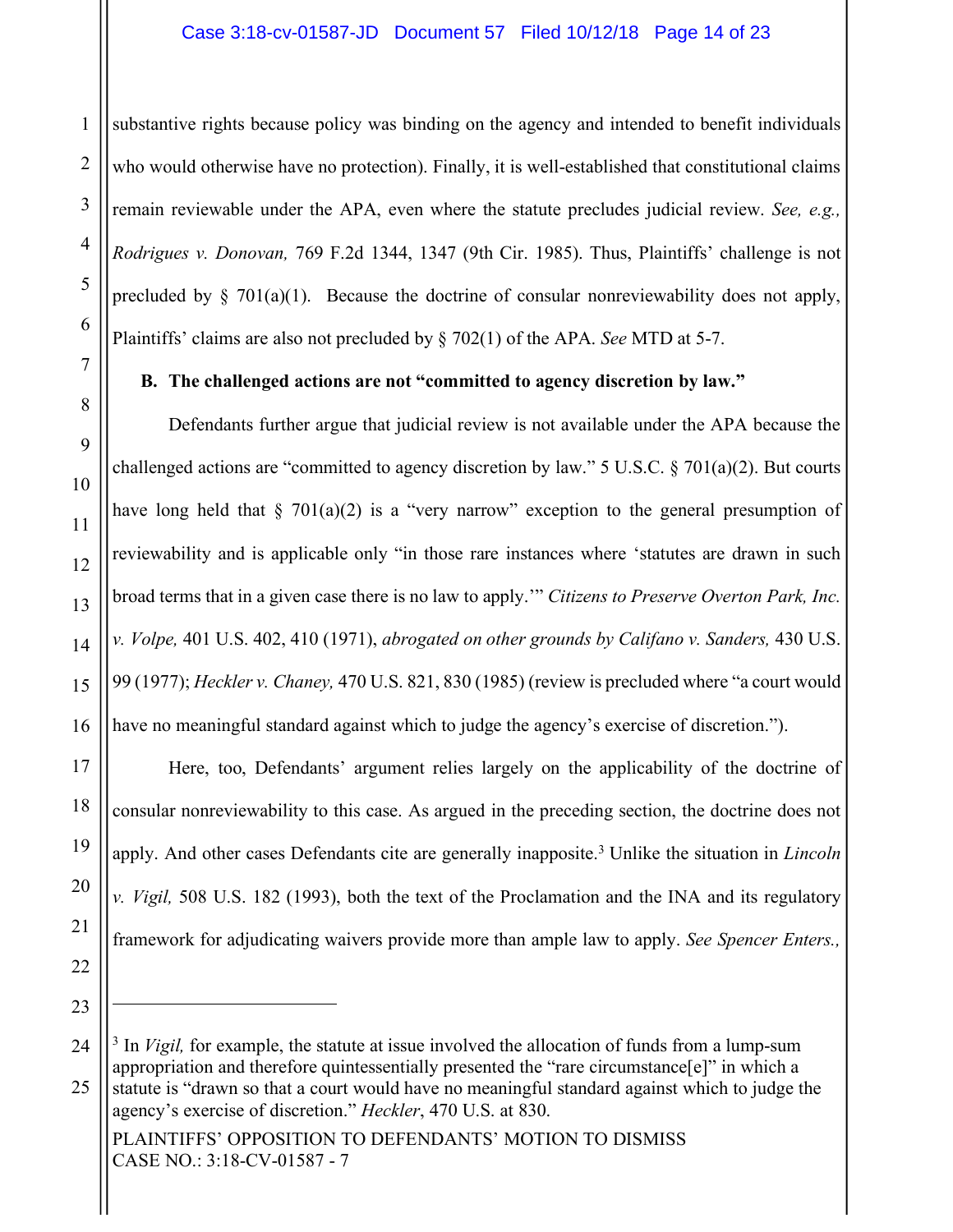### Case 3:18-cv-01587-JD Document 57 Filed 10/12/18 Page 14 of 23

substantive rights because policy was binding on the agency and intended to benefit individuals who would otherwise have no protection). Finally, it is well-established that constitutional claims remain reviewable under the APA, even where the statute precludes judicial review. *See, e.g., Rodrigues v. Donovan,* 769 F.2d 1344, 1347 (9th Cir. 1985). Thus, Plaintiffs' challenge is not precluded by  $\S$  701(a)(1). Because the doctrine of consular nonreviewability does not apply, Plaintiffs' claims are also not precluded by § 702(1) of the APA. *See* MTD at 5-7.

#### **B. The challenged actions are not "committed to agency discretion by law."**

Defendants further argue that judicial review is not available under the APA because the challenged actions are "committed to agency discretion by law." 5 U.S.C.  $\S 701(a)(2)$ . But courts have long held that  $\S$  701(a)(2) is a "very narrow" exception to the general presumption of reviewability and is applicable only "in those rare instances where 'statutes are drawn in such broad terms that in a given case there is no law to apply.'" *Citizens to Preserve Overton Park, Inc. v. Volpe,* 401 U.S. 402, 410 (1971), *abrogated on other grounds by Califano v. Sanders,* 430 U.S. 99 (1977); *Heckler v. Chaney,* 470 U.S. 821, 830 (1985) (review is precluded where "a court would have no meaningful standard against which to judge the agency's exercise of discretion.").

Here, too, Defendants' argument relies largely on the applicability of the doctrine of consular nonreviewability to this case. As argued in the preceding section, the doctrine does not apply. And other cases Defendants cite are generally inapposite. <sup>3</sup> Unlike the situation in *Lincoln v. Vigil,* 508 U.S. 182 (1993), both the text of the Proclamation and the INA and its regulatory framework for adjudicating waivers provide more than ample law to apply. *See Spencer Enters.,* 

1

<sup>&</sup>lt;sup>3</sup> In *Vigil*, for example, the statute at issue involved the allocation of funds from a lump-sum appropriation and therefore quintessentially presented the "rare circumstance[e]" in which a

statute is "drawn so that a court would have no meaningful standard against which to judge the agency's exercise of discretion." *Heckler*, 470 U.S. at 830.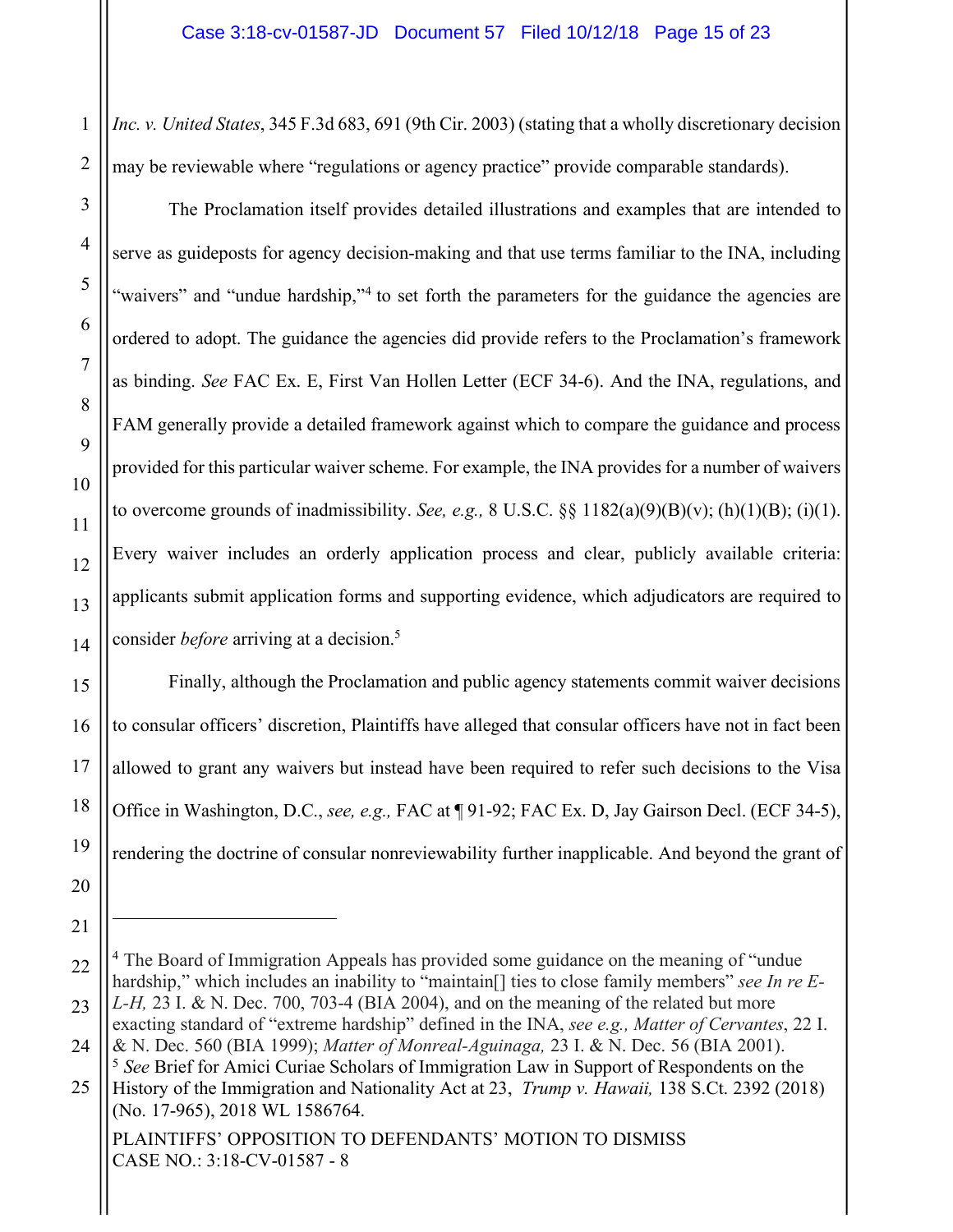*Inc. v. United States*, 345 F.3d 683, 691 (9th Cir. 2003) (stating that a wholly discretionary decision may be reviewable where "regulations or agency practice" provide comparable standards).

The Proclamation itself provides detailed illustrations and examples that are intended to serve as guideposts for agency decision-making and that use terms familiar to the INA, including "waivers" and "undue hardship,"<sup>4</sup> to set forth the parameters for the guidance the agencies are ordered to adopt. The guidance the agencies did provide refers to the Proclamation's framework as binding. *See* FAC Ex. E, First Van Hollen Letter (ECF 34-6). And the INA, regulations, and FAM generally provide a detailed framework against which to compare the guidance and process provided for this particular waiver scheme. For example, the INA provides for a number of waivers to overcome grounds of inadmissibility. *See, e.g.,* 8 U.S.C. §§ 1182(a)(9)(B)(v); (h)(1)(B); (i)(1). Every waiver includes an orderly application process and clear, publicly available criteria: applicants submit application forms and supporting evidence, which adjudicators are required to consider *before* arriving at a decision.<sup>5</sup>

Finally, although the Proclamation and public agency statements commit waiver decisions to consular officers' discretion, Plaintiffs have alleged that consular officers have not in fact been allowed to grant any waivers but instead have been required to refer such decisions to the Visa Office in Washington, D.C., *see, e.g.,* FAC at ¶ 91-92; FAC Ex. D, Jay Gairson Decl. (ECF 34-5), rendering the doctrine of consular nonreviewability further inapplicable. And beyond the grant of

1

<sup>20</sup>

<sup>21</sup>

<sup>4</sup> The Board of Immigration Appeals has provided some guidance on the meaning of "undue hardship," which includes an inability to "maintain<sup>[]</sup> ties to close family members" *see In re E*-*L-H,* 23 I. & N. Dec. 700, 703-4 (BIA 2004), and on the meaning of the related but more

exacting standard of "extreme hardship" defined in the INA, *see e.g., Matter of Cervantes*, 22 I. & N. Dec. 560 (BIA 1999); *Matter of Monreal-Aguinaga,* 23 I. & N. Dec. 56 (BIA 2001).

<sup>5</sup> *See* Brief for Amici Curiae Scholars of Immigration Law in Support of Respondents on the

History of the Immigration and Nationality Act at 23, *Trump v. Hawaii,* 138 S.Ct. 2392 (2018) (No. 17-965), 2018 WL 1586764.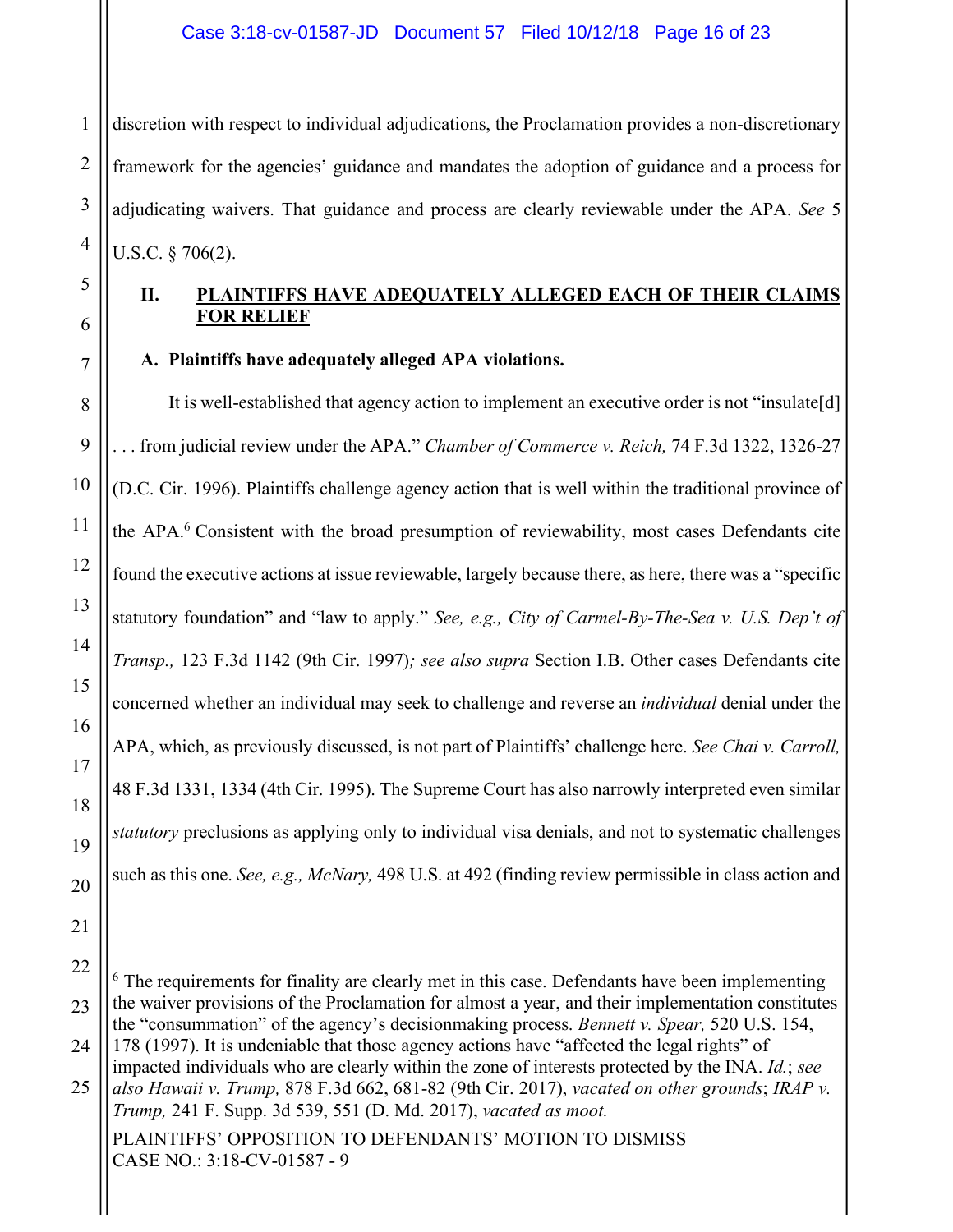1 discretion with respect to individual adjudications, the Proclamation provides a non-discretionary framework for the agencies' guidance and mandates the adoption of guidance and a process for adjudicating waivers. That guidance and process are clearly reviewable under the APA. *See* 5 U.S.C. § 706(2).

## **II. PLAINTIFFS HAVE ADEQUATELY ALLEGED EACH OF THEIR CLAIMS FOR RELIEF**

**A. Plaintiffs have adequately alleged APA violations.**

It is well-established that agency action to implement an executive order is not "insulate[d] . . . from judicial review under the APA." *Chamber of Commerce v. Reich,* 74 F.3d 1322, 1326-27 (D.C. Cir. 1996). Plaintiffs challenge agency action that is well within the traditional province of the APA.6 Consistent with the broad presumption of reviewability, most cases Defendants cite found the executive actions at issue reviewable, largely because there, as here, there was a "specific statutory foundation" and "law to apply." *See, e.g., City of Carmel-By-The-Sea v. U.S. Dep't of Transp.,* 123 F.3d 1142 (9th Cir. 1997)*; see also supra* Section I.B. Other cases Defendants cite concerned whether an individual may seek to challenge and reverse an *individual* denial under the APA, which, as previously discussed, is not part of Plaintiffs' challenge here. *See Chai v. Carroll,*  48 F.3d 1331, 1334 (4th Cir. 1995). The Supreme Court has also narrowly interpreted even similar *statutory* preclusions as applying only to individual visa denials, and not to systematic challenges such as this one. *See, e.g., McNary,* 498 U.S. at 492 (finding review permissible in class action and

PLAINTIFFS' OPPOSITION TO DEFENDANTS' MOTION TO DISMISS CASE NO.: 3:18-CV-01587 - 9

16

17

18

19

20

21

<sup>22</sup> 23 <sup>6</sup> The requirements for finality are clearly met in this case. Defendants have been implementing the waiver provisions of the Proclamation for almost a year, and their implementation constitutes the "consummation" of the agency's decisionmaking process. *Bennett v. Spear,* 520 U.S. 154,

<sup>24</sup> 178 (1997). It is undeniable that those agency actions have "affected the legal rights" of impacted individuals who are clearly within the zone of interests protected by the INA. *Id.*; *see* 

<sup>25</sup> *also Hawaii v. Trump,* 878 F.3d 662, 681-82 (9th Cir. 2017), *vacated on other grounds*; *IRAP v. Trump,* 241 F. Supp. 3d 539, 551 (D. Md. 2017), *vacated as moot.*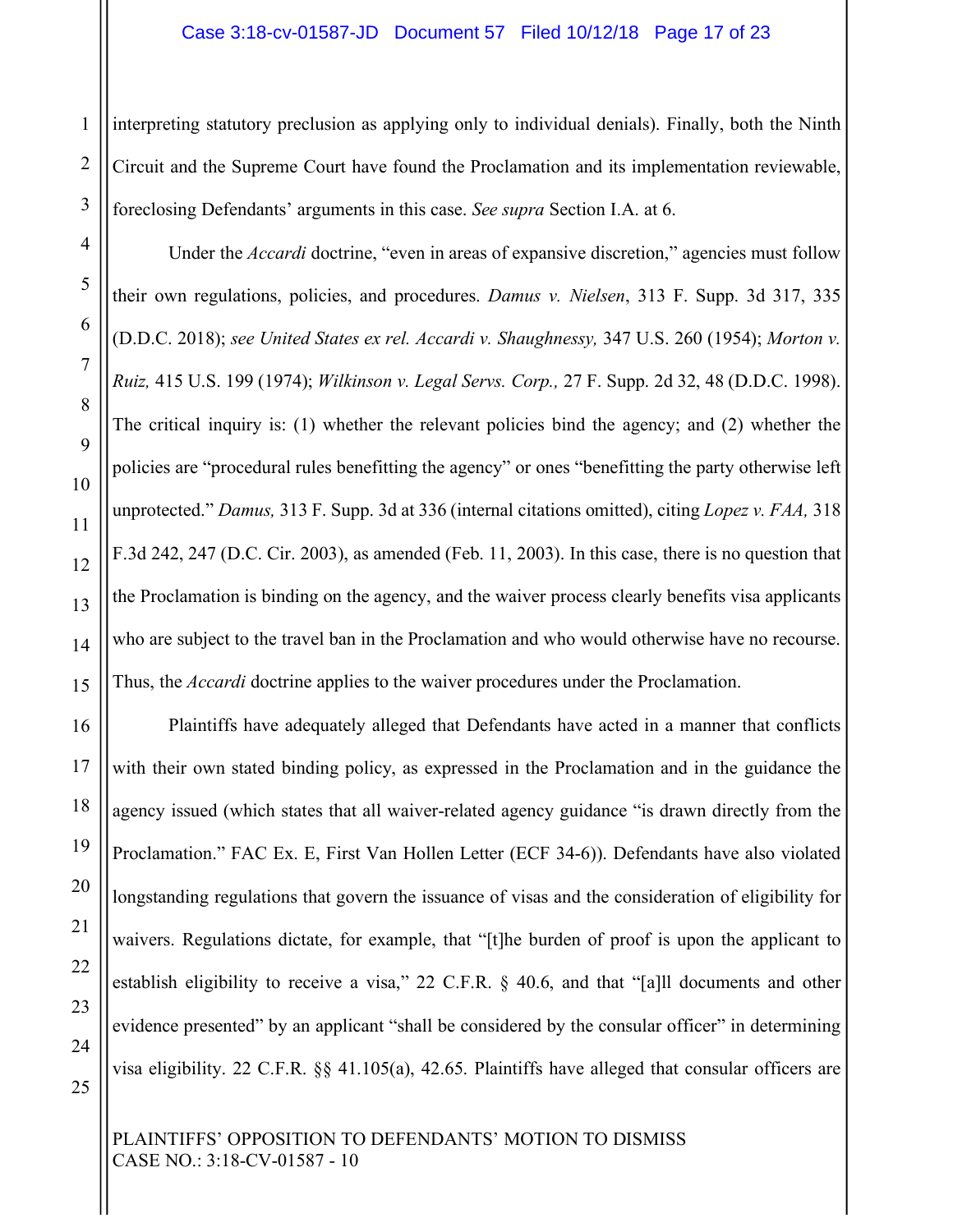interpreting statutory preclusion as applying only to individual denials). Finally, both the Ninth Circuit and the Supreme Court have found the Proclamation and its implementation reviewable, foreclosing Defendants' arguments in this case. *See supra* Section I.A. at 6.

Under the *Accardi* doctrine, "even in areas of expansive discretion," agencies must follow their own regulations, policies, and procedures. *Damus v. Nielsen*, 313 F. Supp. 3d 317, 335 (D.D.C. 2018); *see United States ex rel. Accardi v. Shaughnessy,* 347 U.S. 260 (1954); *Morton v. Ruiz,* 415 U.S. 199 (1974); *Wilkinson v. Legal Servs. Corp.,* 27 F. Supp. 2d 32, 48 (D.D.C. 1998). The critical inquiry is: (1) whether the relevant policies bind the agency; and (2) whether the policies are "procedural rules benefitting the agency" or ones "benefitting the party otherwise left unprotected." *Damus,* 313 F. Supp. 3d at 336 (internal citations omitted), citing *Lopez v. FAA,* 318 F.3d 242, 247 (D.C. Cir. 2003), as amended (Feb. 11, 2003). In this case, there is no question that the Proclamation is binding on the agency, and the waiver process clearly benefits visa applicants who are subject to the travel ban in the Proclamation and who would otherwise have no recourse. Thus, the *Accardi* doctrine applies to the waiver procedures under the Proclamation.

Plaintiffs have adequately alleged that Defendants have acted in a manner that conflicts with their own stated binding policy, as expressed in the Proclamation and in the guidance the agency issued (which states that all waiver-related agency guidance "is drawn directly from the Proclamation." FAC Ex. E, First Van Hollen Letter (ECF 34-6)). Defendants have also violated longstanding regulations that govern the issuance of visas and the consideration of eligibility for waivers. Regulations dictate, for example, that "[t]he burden of proof is upon the applicant to establish eligibility to receive a visa," 22 C.F.R. § 40.6, and that "[a]ll documents and other evidence presented" by an applicant "shall be considered by the consular officer" in determining visa eligibility. 22 C.F.R. §§ 41.105(a), 42.65. Plaintiffs have alleged that consular officers are

PLAINTIFFS' OPPOSITION TO DEFENDANTS' MOTION TO DISMISS CASE NO.: 3:18-CV-01587 - 10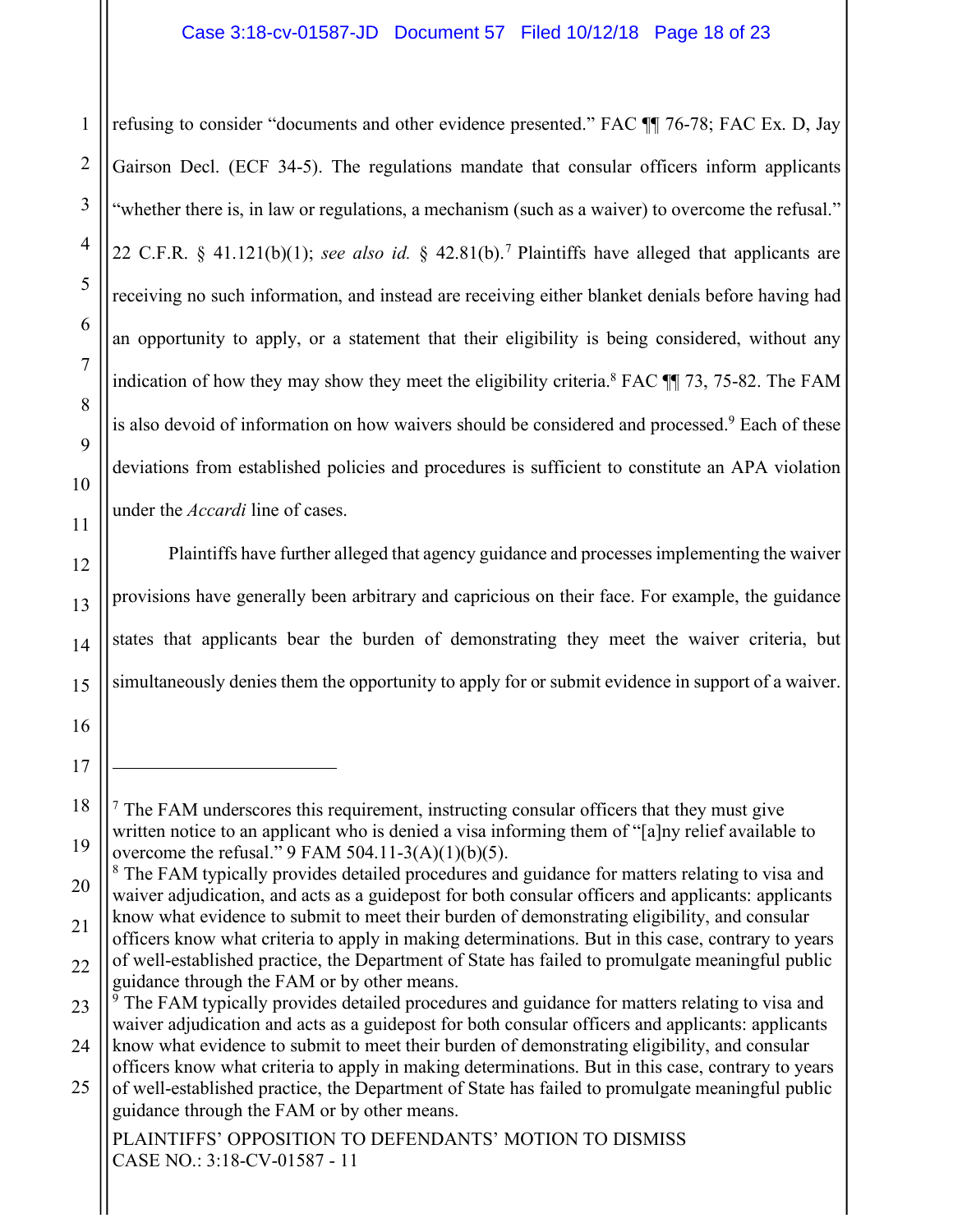#### Case 3:18-cv-01587-JD Document 57 Filed 10/12/18 Page 18 of 23

refusing to consider "documents and other evidence presented." FAC  $\P$  76-78; FAC Ex. D, Jay Gairson Decl. (ECF 34-5). The regulations mandate that consular officers inform applicants "whether there is, in law or regulations, a mechanism (such as a waiver) to overcome the refusal." 22 C.F.R. § 41.121(b)(1); *see also id.* § 42.81(b).<sup>7</sup> Plaintiffs have alleged that applicants are receiving no such information, and instead are receiving either blanket denials before having had an opportunity to apply, or a statement that their eligibility is being considered, without any indication of how they may show they meet the eligibility criteria.8 FAC ¶¶ 73, 75-82. The FAM is also devoid of information on how waivers should be considered and processed.<sup>9</sup> Each of these deviations from established policies and procedures is sufficient to constitute an APA violation under the *Accardi* line of cases.

Plaintiffs have further alleged that agency guidance and processes implementing the waiver provisions have generally been arbitrary and capricious on their face. For example, the guidance states that applicants bear the burden of demonstrating they meet the waiver criteria, but simultaneously denies them the opportunity to apply for or submit evidence in support of a waiver.

PLAINTIFFS' OPPOSITION TO DEFENDANTS' MOTION TO DISMISS CASE NO.: 3:18-CV-01587 - 11

<u>.</u>

 $\frac{7}{7}$  The FAM underscores this requirement, instructing consular officers that they must give written notice to an applicant who is denied a visa informing them of "[a]ny relief available to overcome the refusal." 9 FAM 504.11-3(A)(1)(b)(5).

<sup>&</sup>lt;sup>8</sup> The FAM typically provides detailed procedures and guidance for matters relating to visa and waiver adjudication, and acts as a guidepost for both consular officers and applicants: applicants know what evidence to submit to meet their burden of demonstrating eligibility, and consular

<sup>22</sup> officers know what criteria to apply in making determinations. But in this case, contrary to years of well-established practice, the Department of State has failed to promulgate meaningful public guidance through the FAM or by other means.

<sup>23</sup> <sup>9</sup> The FAM typically provides detailed procedures and guidance for matters relating to visa and waiver adjudication and acts as a guidepost for both consular officers and applicants: applicants

<sup>24</sup> know what evidence to submit to meet their burden of demonstrating eligibility, and consular officers know what criteria to apply in making determinations. But in this case, contrary to years

<sup>25</sup> of well-established practice, the Department of State has failed to promulgate meaningful public guidance through the FAM or by other means.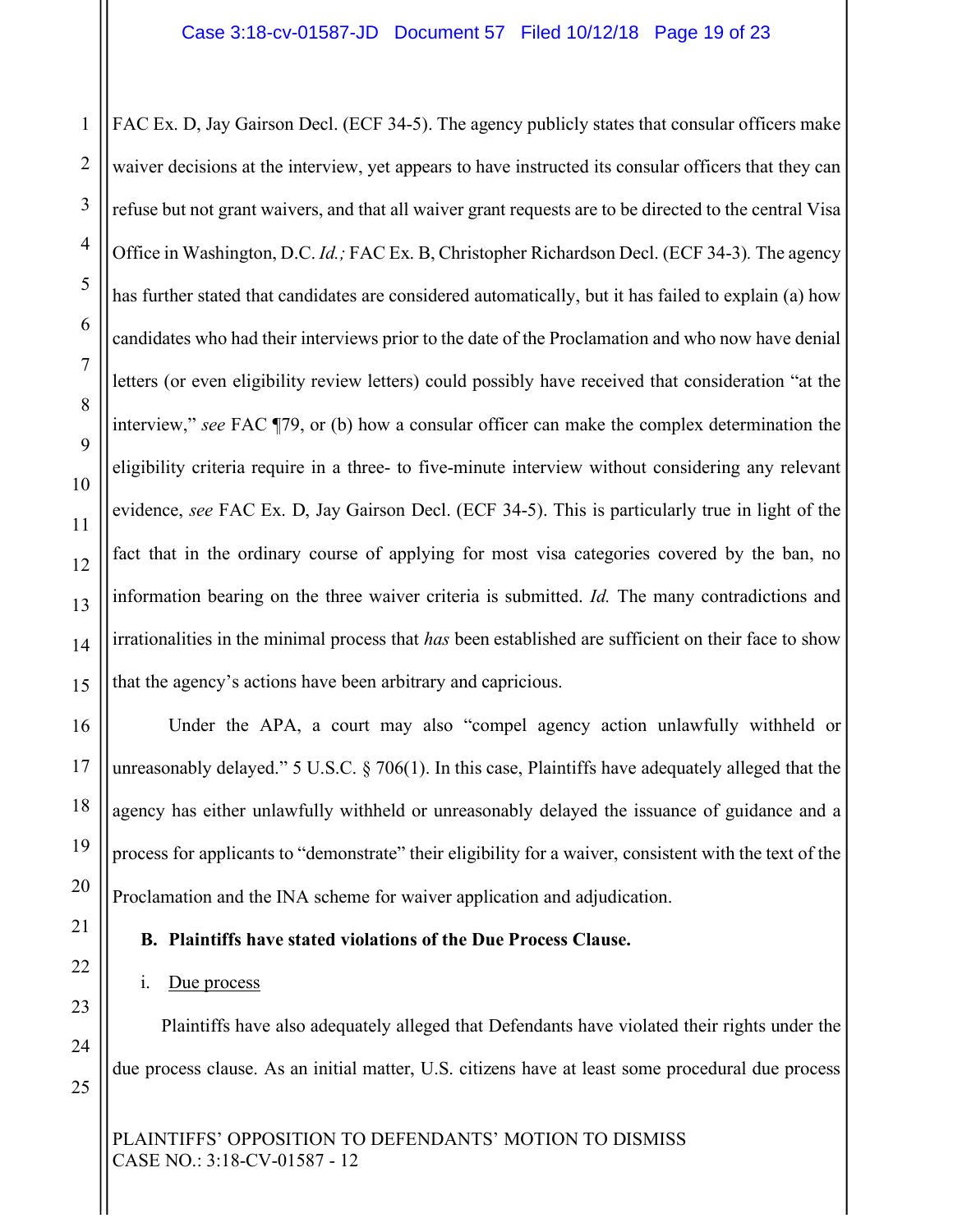FAC Ex. D, Jay Gairson Decl. (ECF 34-5). The agency publicly states that consular officers make waiver decisions at the interview, yet appears to have instructed its consular officers that they can refuse but not grant waivers, and that all waiver grant requests are to be directed to the central Visa Office in Washington, D.C. *Id.;* FAC Ex. B, Christopher Richardson Decl. (ECF 34-3)*.* The agency has further stated that candidates are considered automatically, but it has failed to explain (a) how candidates who had their interviews prior to the date of the Proclamation and who now have denial letters (or even eligibility review letters) could possibly have received that consideration "at the interview," *see* FAC ¶79, or (b) how a consular officer can make the complex determination the eligibility criteria require in a three- to five-minute interview without considering any relevant evidence, *see* FAC Ex. D, Jay Gairson Decl. (ECF 34-5). This is particularly true in light of the fact that in the ordinary course of applying for most visa categories covered by the ban, no information bearing on the three waiver criteria is submitted. *Id.* The many contradictions and irrationalities in the minimal process that *has* been established are sufficient on their face to show that the agency's actions have been arbitrary and capricious.

Under the APA, a court may also "compel agency action unlawfully withheld or unreasonably delayed." 5 U.S.C. § 706(1). In this case, Plaintiffs have adequately alleged that the agency has either unlawfully withheld or unreasonably delayed the issuance of guidance and a process for applicants to "demonstrate" their eligibility for a waiver, consistent with the text of the Proclamation and the INA scheme for waiver application and adjudication.

#### **B. Plaintiffs have stated violations of the Due Process Clause.**

#### i. Due process

Plaintiffs have also adequately alleged that Defendants have violated their rights under the due process clause. As an initial matter, U.S. citizens have at least some procedural due process

PLAINTIFFS' OPPOSITION TO DEFENDANTS' MOTION TO DISMISS CASE NO.: 3:18-CV-01587 - 12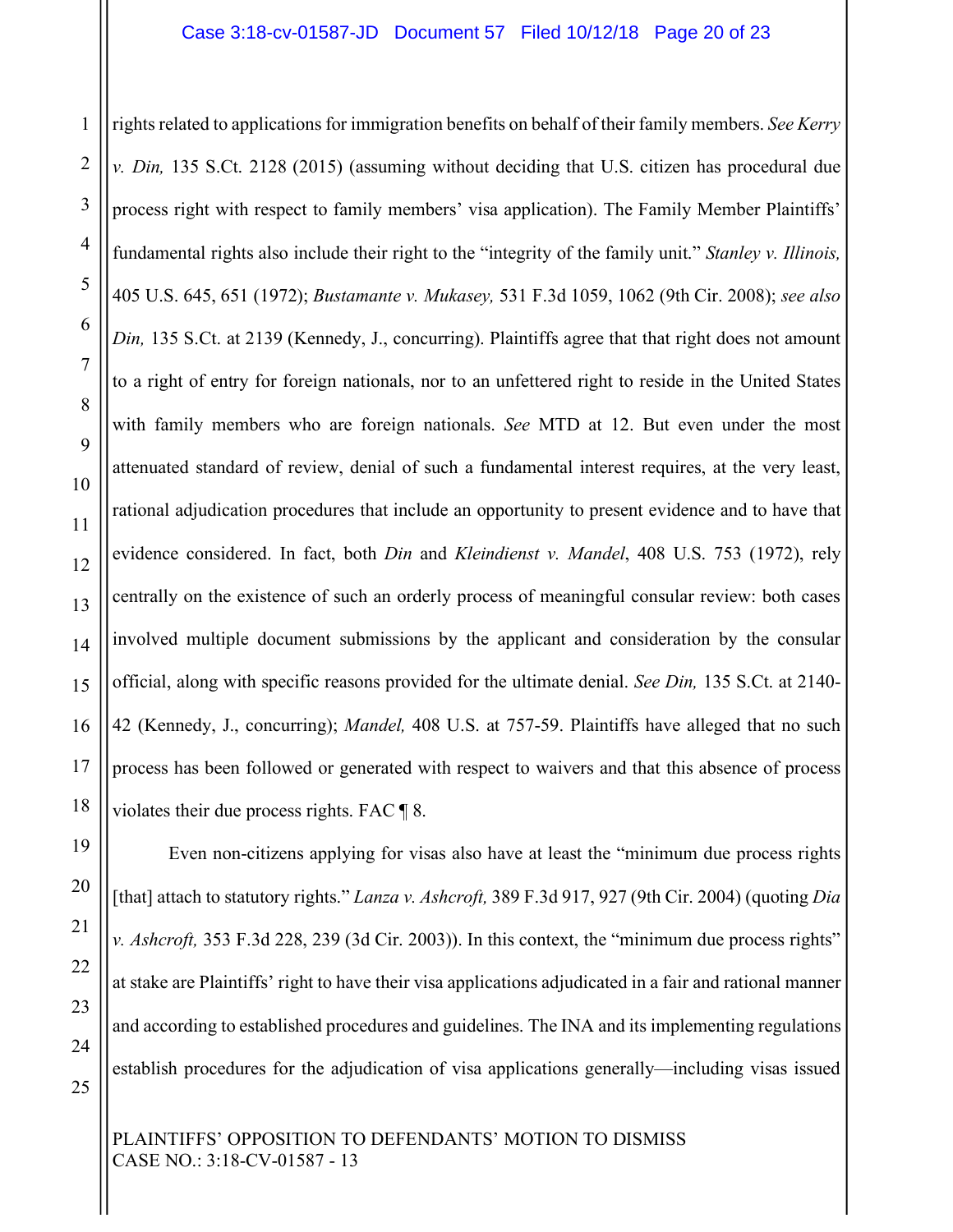rights related to applications for immigration benefits on behalf of their family members. *See Kerry v. Din,* 135 S.Ct. 2128 (2015) (assuming without deciding that U.S. citizen has procedural due process right with respect to family members' visa application). The Family Member Plaintiffs' fundamental rights also include their right to the "integrity of the family unit." *Stanley v. Illinois,*  405 U.S. 645, 651 (1972); *Bustamante v. Mukasey,* 531 F.3d 1059, 1062 (9th Cir. 2008); *see also Din,* 135 S.Ct. at 2139 (Kennedy, J., concurring). Plaintiffs agree that that right does not amount to a right of entry for foreign nationals, nor to an unfettered right to reside in the United States with family members who are foreign nationals. *See* MTD at 12. But even under the most attenuated standard of review, denial of such a fundamental interest requires, at the very least, rational adjudication procedures that include an opportunity to present evidence and to have that evidence considered. In fact, both *Din* and *Kleindienst v. Mandel*, 408 U.S. 753 (1972), rely centrally on the existence of such an orderly process of meaningful consular review: both cases involved multiple document submissions by the applicant and consideration by the consular official, along with specific reasons provided for the ultimate denial. *See Din,* 135 S.Ct. at 2140- 42 (Kennedy, J., concurring); *Mandel,* 408 U.S. at 757-59. Plaintiffs have alleged that no such process has been followed or generated with respect to waivers and that this absence of process violates their due process rights. FAC ¶ 8.

Even non-citizens applying for visas also have at least the "minimum due process rights [that] attach to statutory rights." *Lanza v. Ashcroft,* 389 F.3d 917, 927 (9th Cir. 2004) (quoting *Dia v. Ashcroft,* 353 F.3d 228, 239 (3d Cir. 2003)). In this context, the "minimum due process rights" at stake are Plaintiffs' right to have their visa applications adjudicated in a fair and rational manner and according to established procedures and guidelines. The INA and its implementing regulations establish procedures for the adjudication of visa applications generally—including visas issued

PLAINTIFFS' OPPOSITION TO DEFENDANTS' MOTION TO DISMISS CASE NO.: 3:18-CV-01587 - 13

1

2

3

4

5

6

7

8

9

10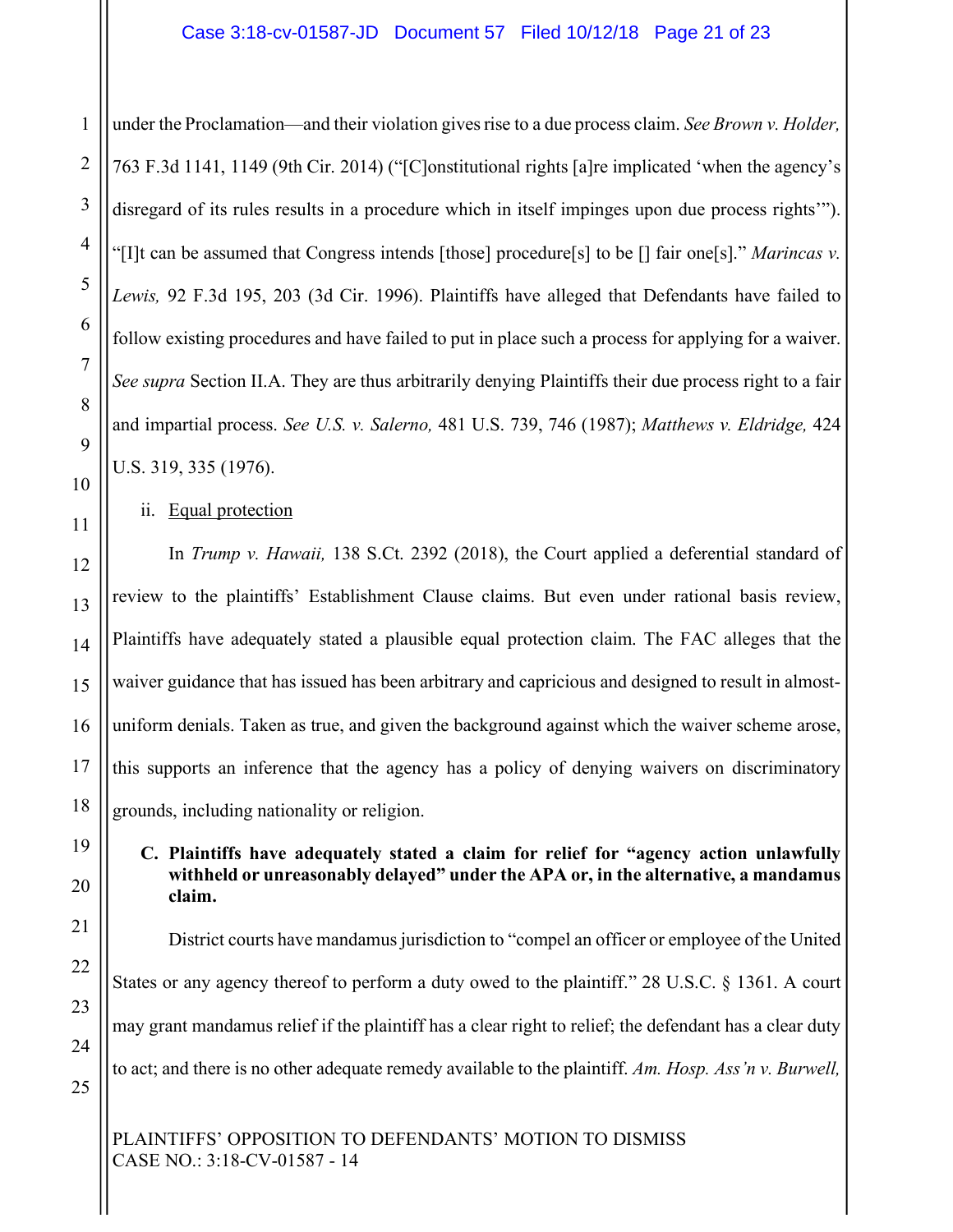under the Proclamation—and their violation gives rise to a due process claim. *See Brown v. Holder,*  763 F.3d 1141, 1149 (9th Cir. 2014) ("[C]onstitutional rights [a]re implicated 'when the agency's disregard of its rules results in a procedure which in itself impinges upon due process rights'"). "[I]t can be assumed that Congress intends [those] procedure[s] to be [] fair one[s]." *Marincas v. Lewis,* 92 F.3d 195, 203 (3d Cir. 1996). Plaintiffs have alleged that Defendants have failed to follow existing procedures and have failed to put in place such a process for applying for a waiver. *See supra* Section II.A. They are thus arbitrarily denying Plaintiffs their due process right to a fair and impartial process. *See U.S. v. Salerno,* 481 U.S. 739, 746 (1987); *Matthews v. Eldridge,* 424 U.S. 319, 335 (1976).

ii. Equal protection

In *Trump v. Hawaii,* 138 S.Ct. 2392 (2018), the Court applied a deferential standard of review to the plaintiffs' Establishment Clause claims. But even under rational basis review, Plaintiffs have adequately stated a plausible equal protection claim. The FAC alleges that the waiver guidance that has issued has been arbitrary and capricious and designed to result in almostuniform denials. Taken as true, and given the background against which the waiver scheme arose, this supports an inference that the agency has a policy of denying waivers on discriminatory grounds, including nationality or religion.

## **C. Plaintiffs have adequately stated a claim for relief for "agency action unlawfully withheld or unreasonably delayed" under the APA or, in the alternative, a mandamus claim.**

District courts have mandamus jurisdiction to "compel an officer or employee of the United States or any agency thereof to perform a duty owed to the plaintiff." 28 U.S.C. § 1361. A court may grant mandamus relief if the plaintiff has a clear right to relief; the defendant has a clear duty to act; and there is no other adequate remedy available to the plaintiff. *Am. Hosp. Ass'n v. Burwell,* 

PLAINTIFFS' OPPOSITION TO DEFENDANTS' MOTION TO DISMISS CASE NO.: 3:18-CV-01587 - 14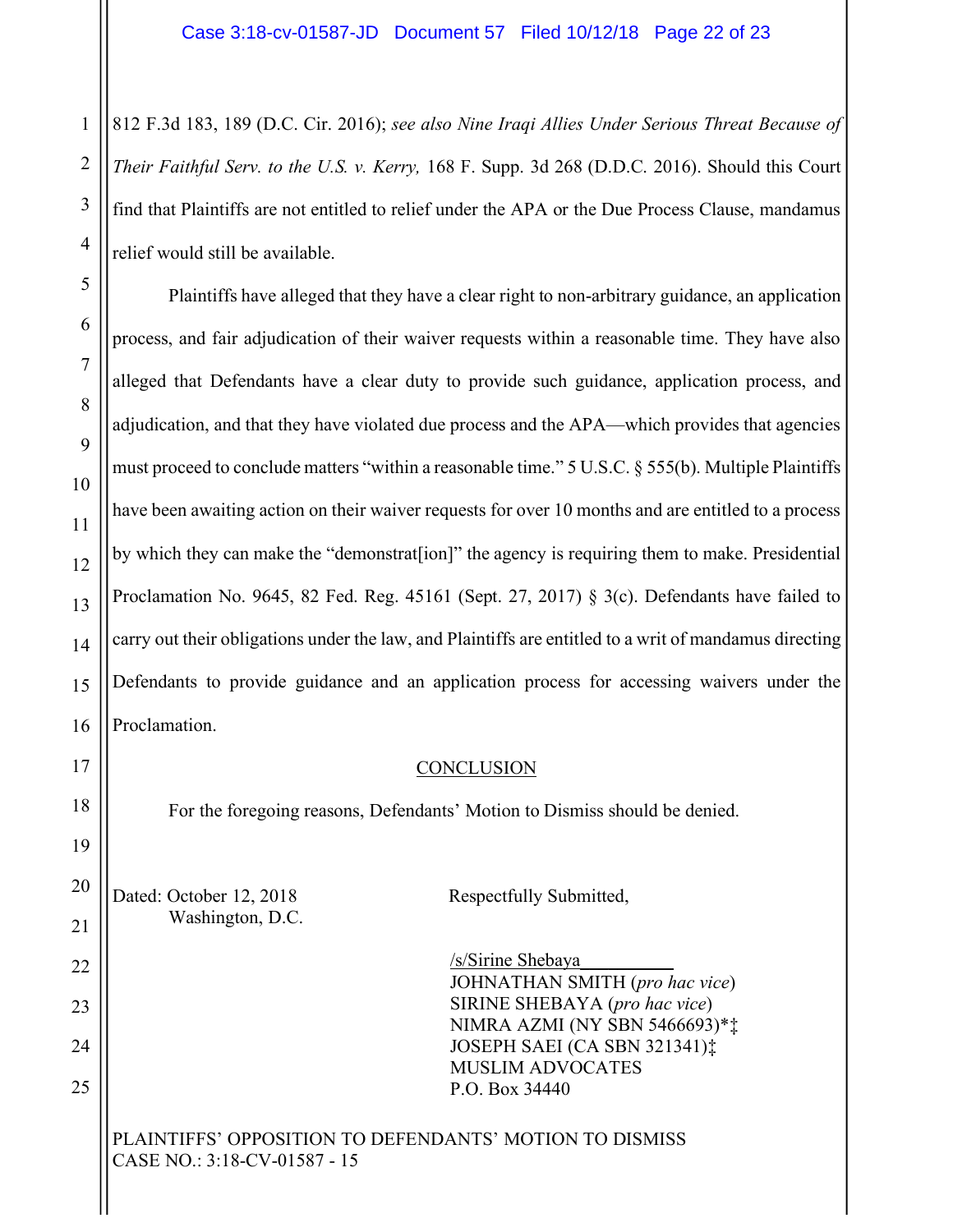812 F.3d 183, 189 (D.C. Cir. 2016); *see also Nine Iraqi Allies Under Serious Threat Because of Their Faithful Serv. to the U.S. v. Kerry,* 168 F. Supp. 3d 268 (D.D.C. 2016). Should this Court find that Plaintiffs are not entitled to relief under the APA or the Due Process Clause, mandamus relief would still be available.

Plaintiffs have alleged that they have a clear right to non-arbitrary guidance, an application process, and fair adjudication of their waiver requests within a reasonable time. They have also alleged that Defendants have a clear duty to provide such guidance, application process, and adjudication, and that they have violated due process and the APA—which provides that agencies must proceed to conclude matters "within a reasonable time." 5 U.S.C. § 555(b). Multiple Plaintiffs have been awaiting action on their waiver requests for over 10 months and are entitled to a process by which they can make the "demonstrat[ion]" the agency is requiring them to make. Presidential Proclamation No. 9645, 82 Fed. Reg. 45161 (Sept. 27, 2017) § 3(c). Defendants have failed to carry out their obligations under the law, and Plaintiffs are entitled to a writ of mandamus directing Defendants to provide guidance and an application process for accessing waivers under the Proclamation.

## **CONCLUSION**

For the foregoing reasons, Defendants' Motion to Dismiss should be denied.

Dated: October 12, 2018 Respectfully Submitted, Washington, D.C.

/s/Sirine Shebaya\_\_\_\_\_\_\_\_\_\_ JOHNATHAN SMITH (*pro hac vice*) SIRINE SHEBAYA (*pro hac vice*) NIMRA AZMI (NY SBN 5466693)\*‡ JOSEPH SAEI (CA SBN 321341)‡ MUSLIM ADVOCATES P.O. Box 34440